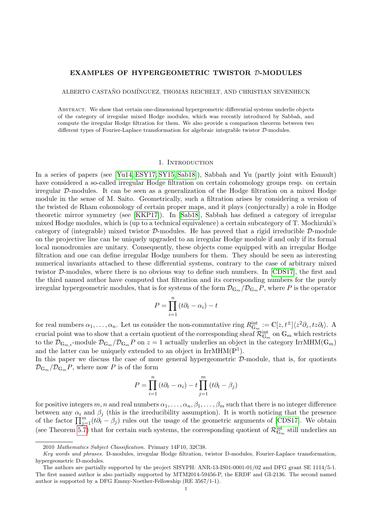#### EXAMPLES OF HYPERGEOMETRIC TWISTOR D-MODULES

ALBERTO CASTAÑO DOMÍNGUEZ, THOMAS REICHELT, AND CHRISTIAN SEVENHECK

Abstract. We show that certain one-dimensional hypergeometric differential systems underlie objects of the category of irregular mixed Hodge modules, which was recently introduced by Sabbah, and compute the irregular Hodge filtration for them. We also provide a comparison theorem between two different types of Fourier-Laplace transformation for algebraic integrable twistor D-modules.

#### 1. Introduction

In a series of papers (see [\[Yu14,](#page-20-0) [ESY17,](#page-19-0) [SY15,](#page-20-1) [Sab18\]](#page-20-2)), Sabbah and Yu (partly joint with Esnault) have considered a so-called irregular Hodge filtration on certain cohomology groups resp. on certain irregular D-modules. It can be seen as a generalization of the Hodge filtration on a mixed Hodge module in the sense of M. Saito. Geometrically, such a filtration arises by considering a version of the twisted de Rham cohomology of certain proper maps, and it plays (conjecturally) a role in Hodge theoretic mirror symmetry (see [\[KKP17\]](#page-19-1)). In [\[Sab18\]](#page-20-2), Sabbah has defined a category of irregular mixed Hodge modules, which is (up to a technical equivalence) a certain subcategory of T. Mochizuki's category of (integrable) mixed twistor  $D$ -modules. He has proved that a rigid irreducible  $D$ -module on the projective line can be uniquely upgraded to an irregular Hodge module if and only if its formal local monodromies are unitary. Consequently, these objects come equipped with an irregular Hodge filtration and one can define irregular Hodge numbers for them. They should be seen as interesting numerical invariants attached to these differential systems, contrary to the case of arbitrary mixed twistor D-modules, where there is no obvious way to define such numbers. In [\[CDS17\]](#page-19-2), the first and the third named author have computed that filtration and its corresponding numbers for the purely irregular hypergeometric modules, that is for systems of the form  $\mathcal{D}_{\mathbb{G}_m}/\mathcal{D}_{\mathbb{G}_m}P$ , where P is the operator

$$
P = \prod_{i=1}^{n} (t\partial_t - \alpha_i) - t
$$

for real numbers  $\alpha_1, \ldots, \alpha_n$ . Let us consider the non-commutative ring  $R_{\mathbb{G}_m}^{\text{int}} := \mathbb{C}[z, t^{\pm}] \langle z^2 \partial_z, tz \partial_t \rangle$ . A crucial point was to show that a certain quotient of the corresponding sheaf  $\mathcal{R}_{\mathbb{G}_m}^{\mathrm{int}}$  on  $\mathbb{G}_m$  which restricts to the  $\mathcal{D}_{\mathbb{G}_{m},t}$ -module  $\mathcal{D}_{\mathbb{G}_m}/\mathcal{D}_{\mathbb{G}_m}P$  on  $z=1$  actually underlies an object in the category IrrMHM( $\mathbb{G}_m$ ) and the latter can be uniquely extended to an object in  $IrrMHM(\mathbb{P}^1)$ .

In this paper we discuss the case of more general hypergeometric  $D$ -module, that is, for quotients  $\mathcal{D}_{\mathbb{G}_m}/\mathcal{D}_{\mathbb{G}_m}P$ , where now P is of the form

$$
P = \prod_{i=1}^{n} (t\partial_t - \alpha_i) - t \prod_{j=1}^{m} (t\partial_t - \beta_j)
$$

for positive integers m, n and real numbers  $\alpha_1, \ldots, \alpha_n, \beta_1, \ldots, \beta_m$  such that there is no integer difference between any  $\alpha_i$  and  $\beta_j$  (this is the irreducibility assumption). It is worth noticing that the presence of the factor  $\prod_{j=1}^m(t\partial_t-\beta_j)$  rules out the usage of the geometric arguments of [\[CDS17\]](#page-19-2). We obtain (see Theorem [5.7\)](#page-14-0) that for certain such systems, the corresponding quotient of  $\mathcal{R}_{\mathbb{G}_m}^{\text{int}}$  still underlies an

<sup>2010</sup> Mathematics Subject Classification. Primary 14F10, 32C38.

Key words and phrases. D-modules, irregular Hodge filtration, twistor D-modules, Fourier-Laplace transformation, hypergeometric D-modules.

The authors are partially supported by the project SISYPH: ANR-13-IS01-0001-01/02 and DFG grant SE 1114/5-1. The first named author is also partially supported by MTM2014-59456-P, the ERDF and GI-2136. The second named author is supported by a DFG Emmy-Noether-Fellowship (RE 3567/1-1).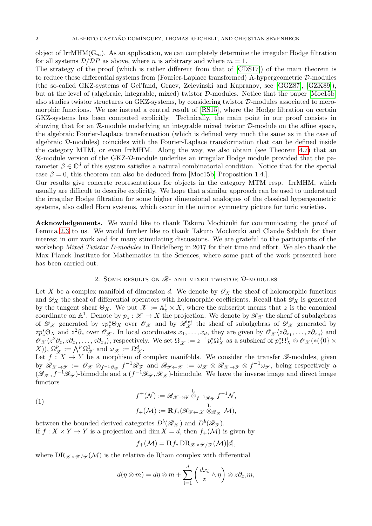object of IrrMHM( $\mathbb{G}_m$ ). As an application, we can completely determine the irregular Hodge filtration for all systems  $\mathcal{D}/\mathcal{D}P$  as above, where *n* is arbitrary and where  $m = 1$ .

The strategy of the proof (which is rather different from that of [\[CDS17\]](#page-19-2)) of the main theorem is to reduce these differential systems from (Fourier-Laplace transformed) A-hypergeometric D-modules (the so-called GKZ-systems of Gel'fand, Graev, Zelevinski and Kapranov, see [\[GGZ87\]](#page-19-3), [\[GZK89\]](#page-19-4)), but at the level of (algebraic, integrable, mixed) twistor D-modules. Notice that the paper [\[Moc15b\]](#page-20-3) also studies twistor structures on GKZ-systems, by considering twistor D-modules associated to meromorphic functions. We use instead a central result of [\[RS15\]](#page-20-4), where the Hodge filtration on certain GKZ-systems has been computed explicitly. Technically, the main point in our proof consists in showing that for an  $\mathcal{R}$ -module underlying an integrable mixed twistor  $\mathcal{D}$ -module on the affine space, the algebraic Fourier-Laplace transformation (which is defined very much the same as in the case of algebraic D-modules) coincides with the Fourier-Laplace transformation that can be defined inside the category MTM, or even IrrMHM. Along the way, we also obtain (see Theorem [4.7\)](#page-9-0) that an R-module version of the GKZ-D-module underlies an irregular Hodge module provided that the parameter  $\beta \in \mathbb{C}^d$  of this system satisfies a natural combinatorial condition. Notice that for the special case  $\beta = 0$ , this theorem can also be deduced from [\[Moc15b,](#page-20-3) Proposition 1.4.].

Our results give concrete representations for objects in the category MTM resp. IrrMHM, which usually are difficult to describe explicitly. We hope that a similar approach can be used to understand the irregular Hodge filtration for some higher dimensional analogues of the classical hypergeometric systems, also called Horn systems, which occur in the mirror symmetry picture for toric varieties.

Acknowledgements. We would like to thank Takuro Mochizuki for communicating the proof of Lemma [2.3](#page-3-0) to us. We would further like to thank Takuro Mochizuki and Claude Sabbah for their interest in our work and for many stimulating discussions. We are grateful to the participants of the workshop *Mixed Twistor D-modules* in Heidelberg in 2017 for their time and effort. We also thank the Max Planck Institute for Mathematics in the Sciences, where some part of the work presented here has been carried out.

# 2. SOME RESULTS ON  $\mathcal{R}$ - AND MIXED TWISTOR  $\mathcal{D}$ -MODULES

Let X be a complex manifold of dimension d. We denote by  $\mathscr{O}_X$  the sheaf of holomorphic functions and  $\mathscr{D}_X$  the sheaf of differential operators with holomorphic coefficients. Recall that  $\mathscr{D}_X$  is generated by the tangent sheaf  $\Theta_X$ . We put  $\mathscr{X} := \mathbb{A}^1_z \times X$ , where the subscript means that z is the canonical coordinate on  $\mathbb{A}^1$ . Denote by  $p_z : \mathscr{X} \to X$  the projection. We denote by  $\mathscr{R}_{\mathscr{X}}$  the sheaf of subalgebras of  $\mathscr{D}_{\mathscr{X}}$  generated by  $zp_z^* \Theta_X$  over  $\mathscr{O}_{\mathscr{X}}$  and by  $\mathscr{R}_{\mathscr{X}}^{\text{int}}$  the sheaf of subalgebras of  $\mathscr{D}_{\mathscr{X}}$  generated by  $zp_z^*\Theta_X$  and  $z^2\partial_z$  over  $\mathscr{O}_{\mathscr{X}}$ . In local coordinates  $x_1,\ldots,x_d$ , they are given by  $\mathscr{O}_{\mathscr{X}}\langle z\partial_{x_1},\ldots,z\partial_{x_d}\rangle$  and  $\mathscr{O}_{\mathscr{X}}\langle z^2\partial_z, z\partial_{x_1},\ldots,z\partial_{x_d}\rangle$ , respectively. We set  $\Omega^1_{\mathscr{X}}:=z^{-1}p_z^*\Omega^1_X$  as a subsheaf of  $p_z^*\Omega^1_X\otimes\mathscr{O}_{\mathscr{X}}(*\tilde{P}^1_X\otimes\mathscr{O}_{\mathscr{X}}(*\tilde{P}^1_X\otimes\mathscr{O}_{\mathscr{X}}(*\tilde{P}^1_X\otimes\mathscr{O}_{\mathscr{X}}(*\tilde{P}^1_X\otimes$  $(X)), \ \Omega^p_{\mathscr{X}} := \bigwedge^p \Omega^1_{\mathscr{X}} \text{ and } \omega_{\mathscr{X}} := \Omega^d_{\mathscr{X}}.$ 

Let  $f: X \to Y$  be a morphism of complex manifolds. We consider the transfer  $\mathscr{R}$ -modules, given by  $\mathscr{R}_{\mathscr{X}\to\mathscr{Y}} := \mathscr{O}_{\mathscr{X}} \otimes_{f^{-1}\mathscr{O}_{\mathscr{Y}}} f^{-1}\mathscr{R}_{\mathscr{Y}}$  and  $\mathscr{R}_{\mathscr{Y}\leftarrow\mathscr{X}} := \omega_{\mathscr{X}} \otimes \mathscr{R}_{\mathscr{X}\to\mathscr{Y}} \otimes f^{-1}\omega_{\mathscr{Y}}$ , being respectively a  $(\mathscr{R}_{\mathscr{X}}, f^{-1}\mathscr{R}_{\mathscr{Y}})$ -bimodule and a  $(f^{-1}\mathscr{R}_{\mathscr{Y}}, \mathscr{R}_{\mathscr{X}})$ -bimodule. We have the inverse image and direct image functors

<span id="page-1-0"></span>(1)  
\n
$$
f^+(\mathcal{N}) := \mathcal{R}_{\mathcal{X} \to \mathcal{Y}} \overset{\mathbf{L}}{\otimes}_{f^{-1}\mathcal{R}_{\mathcal{Y}}} f^{-1}\mathcal{N},
$$
\n
$$
f_+(\mathcal{M}) := \mathbf{R}f_*(\mathcal{R}_{\mathcal{Y} \leftarrow \mathcal{X}} \overset{\mathbf{L}}{\otimes}_{\mathcal{R}_{\mathcal{X}}} \mathcal{M}),
$$

between the bounded derived categories  $D^b(\mathscr{R}_{\mathscr{X}})$  and  $D^b(\mathscr{R}_{\mathscr{Y}})$ . If  $f: X \times Y \to Y$  is a projection and dim  $X = d$ , then  $f_+(\mathcal{M})$  is given by

$$
f_{+}(\mathcal{M}) = \mathbf{R} f_{*} \operatorname{DR}_{\mathscr{X} \times \mathscr{Y} / \mathscr{Y}}(\mathcal{M})[d],
$$

where DR $_{\mathscr{X} \times \mathscr{U} / \mathscr{U}}(\mathcal{M})$  is the relative de Rham complex with differential

$$
d(\eta \otimes m) = d\eta \otimes m + \sum_{i=1}^d \left(\frac{dx_i}{z} \wedge \eta\right) \otimes z \partial_{x_i} m,
$$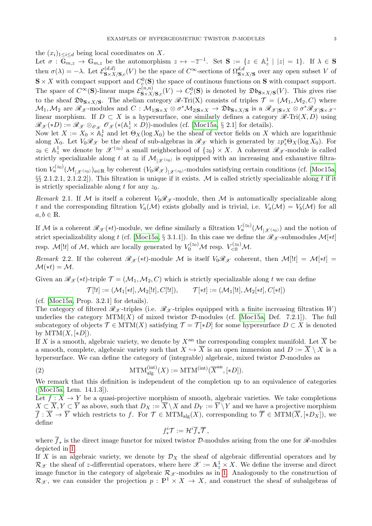the  $(x_i)_{1\leq i\leq d}$  being local coordinates on X.

Let  $\sigma$  :  $\overline{\mathbb{G}_{m,z}} \to \mathbb{G}_{m,z}$  be the automorphism  $z \mapsto -\overline{z}^{-1}$ . Set  $S := \{z \in \mathbb{A}_z^1 \mid |z| = 1\}$ . If  $\lambda \in S$ then  $\sigma(\lambda) = -\lambda$ . Let  $\mathcal{E}_{\mathbf{S}\times X}^{(d,d)}$  $\mathcal{S}_{S \times X/S,c}^{(d,d)}(V)$  be the space of  $C^{\infty}$ -sections of  $\Omega_{S \times X/S}^{d,d}$  over any open subset V of  $S \times X$  with compact support and  $C_c^0(S)$  the space of continous functions on S with compact support. The space of  $C^{\infty}(\mathbf{S})$ -linear maps  $\mathcal{E}_{\mathbf{S}\times Y}^{(n,n)}$  $S \times X/S,c(V) \to C_c^0(\mathbf{S})$  is denoted by  $\mathfrak{D}b_{\mathbf{S} \times X/\mathbf{S}}(V)$ . This gives rise to the sheaf  $\mathfrak{D}\mathfrak{b}_{S\times X/S}$ . The abelian category  $\mathscr{R}\text{-}\mathrm{Tri}(X)$  consists of triples  $\mathcal{T} = (\mathcal{M}_1, \mathcal{M}_2, C)$  where  $\mathcal{M}_1, \mathcal{M}_2$  are  $\mathscr{R}_{\mathscr{X}}$ -modules and  $C: \mathcal{M}_{1|{\mathbf{S}} \times X} \otimes \sigma^* \mathcal{M}_{2|{\mathbf{S}} \times X} \to \mathfrak{D} \mathfrak{b}_{{\mathbf{S}} \times X/{\mathbf{S}}}$  is a  $\mathscr{R}_{\mathscr{X}|{\mathbf{S}} \times X} \otimes \sigma^* \mathscr{R}_{\mathscr{X}|{\mathbf{S}} \times \mathscr{X}}$ linear morphism. If  $D \subset X$  is a hypersurface, one similarly defines a category  $\mathscr{R}\text{-Tri}(X, D)$  using  $\mathscr{R}_{\mathscr{X}}(*D) := \mathscr{R}_{\mathscr{X}} \otimes_{\mathscr{O}_{\mathscr{X}}} \mathscr{O}_{\mathscr{X}}(*({\mathbb A}^1_z \times D))$ -modules (cf. [\[Moc15a,](#page-19-5) § 2.1] for details).

Now let  $X := X_0 \times \mathbb{A}^1_t$  and let  $\Theta_X(\log X_0)$  be the sheaf of vector fields on X which are logarithmic along  $X_0$ . Let  $V_0\mathscr{R}_\mathscr{X}$  be the sheaf of sub-algebras in  $\mathscr{R}_\mathscr{X}$  which is generated by  $zp_z^*\Theta_X(\log X_0)$ . For  $z_0 \in \mathbb{A}_z^1$  we denote by  $\mathscr{X}^{(z_0)}$  a small neighborhood of  $\{z_0\} \times X$ . A coherent  $\mathscr{R}_{\mathscr{X}}$ -module is called strictly specializable along t at  $z_0$  if  $\mathcal{M}_{\mathcal{X}(z_0)}$  is equipped with an increasing and exhaustive filtration  $V_a^{(z_0)}(\mathcal{M}_{\vert \mathscr{X}^{(z_0)}})_{a \in \mathbb{R}}$  by coherent  $(V_0 \mathscr{R}_{\mathscr{X}})_{\vert \mathscr{X}^{(z_0)}}$ -modules satisfying certain conditions (cf. [\[Moc15a,](#page-19-5) §§ 2.1.2.1, 2.1.2.2]). This filtration is unique if it exists. M is called strictly specializable along t if it is strictly specializable along t for any  $z_0$ .

<span id="page-2-0"></span>Remark 2.1. If M is itself a coherent  $V_0\mathscr{R}_{\mathscr{X}}$ -module, then M is automatically specializable along t and the corresponding filtration  $V_a(\mathcal{M})$  exists globally and is trivial, i.e.  $V_a(\mathcal{M}) = V_b(\mathcal{M})$  for all  $a, b \in \mathbb{R}$ .

If M is a coherent  $\mathscr{R}_{\mathscr{X}}(*t)$ -module, we define similarly a filtration  $V_a^{(z_0)}(\mathcal{M}_{|\mathscr{X}^{(z_0)}})$  and the notion of strict specializability along t (cf. [\[Moc15a,](#page-19-5) § 3.1.1]). In this case we define the  $\mathscr{R}_{\mathscr{X}}$ -submodules  $\mathcal{M}[*t]$ resp.  $\mathcal{M} [!t]$  of  $\mathcal{M}$ , which are locally generated by  $V_0^{(z_0)} \mathcal{M}$  resp.  $V_{\leq 0}^{(z_0)} \mathcal{M}$ .

<span id="page-2-1"></span>Remark 2.2. If the coherent  $\mathcal{R}_{\mathcal{X}}(*t)$ -module M is itself  $V_0\mathcal{R}_{\mathcal{X}}$  coherent, then  $\mathcal{M}[[t]] = \mathcal{M}[*t]$  $\mathcal{M}(*t) = \mathcal{M}.$ 

Given an  $\mathcal{R}_{\mathcal{X}}(*t)$ -triple  $\mathcal{T} = (\mathcal{M}_1, \mathcal{M}_2, C)$  which is strictly specializable along t we can define

$$
\mathcal{T}[!t] := (\mathcal{M}_1[*t], \mathcal{M}_2[!t], C[!t]), \qquad \mathcal{T}[*t] := (\mathcal{M}_1[!t], \mathcal{M}_2[*t], C[*t])
$$

(cf. [\[Moc15a,](#page-19-5) Prop. 3.2.1] for details).

The category of filtered  $\mathscr{R}_{\mathscr{X}}$ -triples (i.e.  $\mathscr{R}_{\mathscr{X}}$ -triples equipped with a finite increasing filtration W) underlies the category  $\text{MTM}(X)$  of mixed twistor D-modules (cf. [\[Moc15a,](#page-19-5) Def. 7.2.1]). The full subcategory of objects  $\mathcal{T} \in \text{MTM}(X)$  satisfying  $\mathcal{T} = \mathcal{T}[*D]$  for some hypersurface  $D \subset X$  is denoted by  $\text{MTM}(X,[*D]).$ 

If X is a smooth, algebraic variety, we denote by  $X^{\text{an}}$  the corresponding complex manifold. Let  $\overline{X}$  be a smooth, complete, algebraic variety such that  $X \hookrightarrow \overline{X}$  is an open immersion and  $D := \overline{X} \setminus X$  is a hypersurface. We can define the category of (integrable) algebraic, mixed twistor  $\mathcal{D}$ -modules as

(2) 
$$
\mathrm{MTM}_{\mathrm{alg}}^{(\mathrm{int})}(X) := \mathrm{MTM}^{(\mathrm{int})}(\overline{X}^{\mathrm{an}}, [*D]).
$$

We remark that this definition is independent of the completion up to an equivalence of categories ([\[Moc15a,](#page-19-5) Lem. 14.1.3]).

Let  $f: X \to Y$  be a quasi-projective morphism of smooth, algebraic varieties. We take completions  $X \subset \overline{X}, Y \subset \overline{Y}$  as above, such that  $D_X := \overline{X} \setminus X$  and  $D_Y := \overline{Y} \setminus Y$  and we have a projective morphism  $\overline{f} : \overline{X} \to \overline{Y}$  which restricts to f. For  $\mathcal{T} \in \text{MTM}_{\text{alg}}(X)$ , corresponding to  $\overline{\mathcal{T}} \in \text{MTM}(\overline{X}, [*D_X])$ , we define

$$
f_*^i \mathcal{T} := \mathcal{H}^i \overline{f}_* \overline{\mathcal{T}},
$$

where  $f_*$  is the direct image functor for mixed twistor D-modules arising from the one for  $\mathscr{R}\text{-modules}$ depicted in [1.](#page-1-0)

If X is an algebraic variety, we denote by  $\mathcal{D}_X$  the sheaf of algebraic differential operators and by  $\mathcal{R}_{\mathscr{X}}$  the sheaf of z-differential operators, where here  $\mathscr{X} := \mathbb{A}_{z}^1 \times X$ . We define the inverse and direct image functor in the category of algebraic  $\mathcal{R}_{\mathscr{X}}$ -modules as in [1.](#page-1-0) Analogously to the construction of  $\mathcal{R}_{\mathscr{X}}$ , we can consider the projection  $p : \mathbb{P}^1 \times X \to X$ , and construct the sheaf of subalgebras of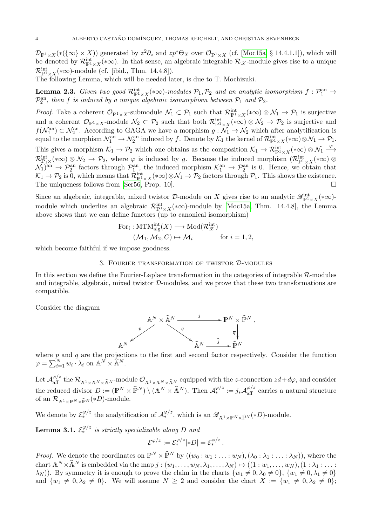$\mathcal{D}_{\mathbb{P}^1\times X}(*(\{\infty\}\times X))$  generated by  $z^2\partial_z$  and  $zp^*\Theta_X$  over  $\mathcal{O}_{\mathbb{P}^1\times X}$  (cf. [\[Moc15a,](#page-19-5) § 14.4.1.1]), which will be denoted by  $\mathcal{R}_{\mathbb{P}^1\times X}^{\text{int}}(*\infty)$ . In that sense, an algebraic integrable  $\mathcal{R}_{\mathscr{X}}$ -module gives rise to a unique  $\mathcal{R}^{\text{int}}_{\mathbb{P}^1\times X}(*\infty)$ -module (cf. [ibid., Thm. 14.4.8]).

The following Lemma, which will be needed later, is due to T. Mochizuki.

<span id="page-3-0"></span>**Lemma 2.3.** Given two good  $\mathcal{R}^{\text{int}}_{\mathbb{P}^1\times X}(*\infty)$ -modules  $\mathcal{P}_1, \mathcal{P}_2$  and an analytic isomorphism  $f: \mathcal{P}^{\text{an}}_1\to$  $\mathcal{P}_2^{\rm an},$  then f is induced by a unique algebraic isomorphism between  $\mathcal{P}_1$  and  $\mathcal{P}_2$ .

*Proof.* Take a coherent  $\mathcal{O}_{\mathbb{P}^1 \times X}$ -submodule  $\mathcal{N}_1 \subset \mathcal{P}_1$  such that  $\mathcal{R}_{\mathbb{P}^1 \times X}^{\text{int}}(*\infty) \otimes \mathcal{N}_1 \to \mathcal{P}_1$  is surjective and a coherent  $\mathcal{O}_{\mathbb{P}^1\times X}$ -module  $\mathcal{N}_2\subset \mathcal{P}_2$  such that both  $\mathcal{R}^{\text{int}}_{\mathbb{P}^1\times X}(*\infty)\otimes \mathcal{N}_2\to \mathcal{P}_2$  is surjective and  $f(\mathcal{N}_1^{\text{an}}) \subset \mathcal{N}_2^{\text{an}}$ . According to GAGA we have a morphism  $g: \mathcal{N}_1 \to \mathcal{N}_2$  which after analytification is equal to the morphism  $\mathcal{N}_1^{\text{an}} \to \mathcal{N}_2^{\text{an}}$  induced by f. Denote by  $\mathcal{K}_1$  the kernel of  $\mathcal{R}_{\mathbb{P}^1 \times X}^{\text{int}}(*\infty) \otimes \mathcal{N}_1 \to \mathcal{P}_1$ . This gives a morphism  $\mathcal{K}_1 \to \mathcal{P}_2$  which one obtains as the composition  $\mathcal{K}_1 \to \mathcal{R}^{\rm int}_{\mathbb{P}^1 \times X}(*\infty) \otimes \mathcal{N}_1 \xrightarrow{\varphi}$  $\mathcal{R}_{\mathbb{P}_1\times}^{\text{int}}(*\infty)\otimes\mathcal{N}_2\to\mathcal{P}_2$ , where  $\varphi$  is induced by g. Because the induced morphism  $(\mathcal{R}_{\mathbb{P}^1\times X}^{\text{int}}(*\infty)\otimes$  $N_1$ <sup>an</sup>  $\rightarrow$   $\mathcal{P}_2^{\text{an}}$  factors through  $\mathcal{P}_1^{\text{an}}$ , the induced morphism  $\mathcal{K}_1^{\text{an}} \rightarrow \mathcal{P}_2^{\text{an}}$  is 0. Hence, we obtain that  $\mathcal{K}_1 \to \mathcal{P}_2$  is 0, which means that  $\mathcal{R}_{\mathbb{P}^1 \times X}^{\text{int}}(*\infty) \otimes \mathcal{N}_1 \to \mathcal{P}_2$  factors through  $\mathcal{P}_1$ . This shows the existence. The uniqueness follows from [\[Ser56,](#page-20-5) Prop. 10].  $\Box$ 

Since an algebraic, integrable, mixed twistor  $\mathcal{D}$ -module on X gives rise to an analytic  $\mathscr{R}^{\rm int}_{\mathbb{P}^1\times X}(*\infty)$ module which underlies an algebraic  $\mathcal{R}_{\mathbb{P}^1\times X}^{\text{int}}(*\infty)$ -module by [\[Moc15a,](#page-19-5) Thm. 14.4.8], the Lemma above shows that we can define functors (up to canonical isomorphism)

For<sub>i</sub>: MTM<sup>int</sup><sub>alg</sub>
$$
(X)
$$
  $\longrightarrow$  Mod $(\mathcal{R}_{\mathcal{X}}^{\text{int}})$   
 $(\mathcal{M}_1, \mathcal{M}_2, C) \mapsto \mathcal{M}_i$  for  $i = 1, 2$ ,

which become faithful if we impose goodness.

3. Fourier transformation of twistor D-modules

In this section we define the Fourier-Laplace transformation in the categories of integrable R-modules and integrable, algebraic, mixed twistor D-modules, and we prove that these two transformations are compatible.

Consider the diagram



where  $p$  and  $q$  are the projections to the first and second factor respectively. Consider the function  $\varphi = \sum_{i=1}^{N} w_i \cdot \lambda_i$  on  $\mathbb{A}^N \times \widehat{\mathbb{A}}^N$ .

Let  $\mathcal{A}_{\text{aff}}^{\varphi/z}$  the  $\mathcal{R}_{\mathbb{A}^1 \times \mathbb{A}^N \times \widehat{\mathbb{A}}^N}$  module  $\mathcal{O}_{\mathbb{A}^1 \times \mathbb{A}^N \times \widehat{\mathbb{A}}^N}$  equipped with the z-connection  $zd + d\varphi$ , and consider the reduced divisor  $D := (\mathbb{P}^N \times \widehat{\mathbb{P}}^N) \setminus (\mathbb{A}^N \times \widehat{\mathbb{A}}^N)$ . Then  $\mathcal{A}^{\varphi/z}_* := j_* \mathcal{A}^{\varphi/z}_{\text{aff}}$  carries a natural structure of an  $\mathcal{R}_{\mathbb{A}^1\times\mathbb{P}^N\times\widehat{\mathbb{P}}^N}(*D)$ -module.

We denote by  $\mathcal{E}_{*}^{\varphi/z}$  the analytification of  $\mathcal{A}_{*}^{\varphi/z}$ , which is an  $\mathscr{R}_{A^1\times\mathbb{P}^N\times\widehat{\mathbb{P}}^N}(*D)$ -module.

<span id="page-3-1"></span>**Lemma 3.1.**  $\mathcal{E}_{*}^{\varphi/z}$  is strictly specializable along D and

$$
\mathcal{E}^{\varphi/z} := \mathcal{E}_*^{\varphi/z}[*D] = \mathcal{E}_*^{\varphi/z}.
$$

*Proof.* We denote the coordinates on  $\mathbb{P}^N \times \widehat{\mathbb{P}}^N$  by  $((w_0 : w_1 : \ldots : w_N), (\lambda_0 : \lambda_1 : \ldots : \lambda_N))$ , where the chart  $\mathbb{A}^N \times \widehat{\mathbb{A}}^N$  is embedded via the map  $j : (w_1, \ldots, w_N, \lambda_1, \ldots, \lambda_N) \mapsto ((1 : w_1, \ldots, w_N), (1 : \lambda_1 : \ldots :$  $(\lambda_N)$ ). By symmetry it is enough to prove the claim in the charts  $\{w_1 \neq 0, \lambda_0 \neq 0\}$ ,  $\{w_1 \neq 0, \lambda_1 \neq 0\}$ and  $\{w_1 \neq 0, \lambda_2 \neq 0\}$ . We will assume  $N \geq 2$  and consider the chart  $X := \{w_1 \neq 0, \lambda_2 \neq 0\};$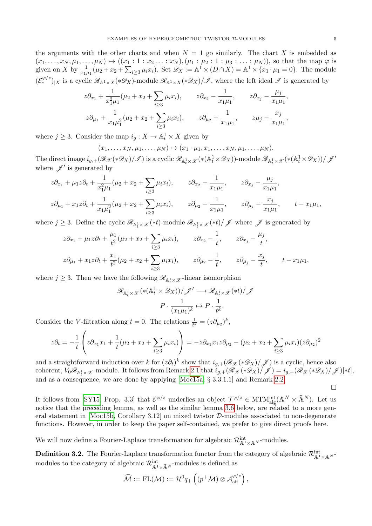the arguments with the other charts and when  $N = 1$  go similarly. The chart X is embedded as  $(x_1, \ldots, x_N, \mu_1, \ldots, \mu_N) \mapsto ((x_1 : 1 : x_2 \ldots : x_N), (\mu_1 : \mu_2 : 1 : \mu_3 : \ldots : \mu_N)),$  so that the map  $\varphi$  is given on X by  $\frac{1}{x_1\mu_1}(\mu_2 + x_2 + \sum_{i\geq 3} \mu_i x_i)$ . Set  $\mathscr{D}_X := \mathbb{A}^1 \times (D \cap X) = \mathbb{A}^1 \times \{x_1 \cdot \mu_1 = 0\}$ . The module  $(\mathcal{E}^{\varphi/z}_*)_{|X}$  is a cyclic  $\mathscr{R}_{\mathbb{A}^1\times X}(*\mathscr{D}_X)$ -module  $\mathscr{R}_{\mathbb{A}^1\times X}(*\mathscr{D}_X)/\mathscr{I}$ , where the left ideal  $\mathscr{I}$  is generated by

$$
z\partial_{x_1} + \frac{1}{x_1^2\mu_1}(\mu_2 + x_2 + \sum_{i\geq 3} \mu_i x_i), \qquad z\partial_{x_2} - \frac{1}{x_1\mu_1}, \qquad z\partial_{x_j} - \frac{\mu_j}{x_1\mu_1},
$$
  

$$
z\partial_{\mu_1} + \frac{1}{x_1\mu_1^2}(\mu_2 + x_2 + \sum_{i\geq 3} \mu_i x_i), \qquad z\partial_{\mu_2} - \frac{1}{x_1\mu_1}, \qquad z\mu_j - \frac{x_j}{x_1\mu_1},
$$

where  $j \geq 3$ . Consider the map  $i_g: X \to \mathbb{A}^1_t \times X$  given by

$$
(x_1,\ldots,x_N,\mu_1,\ldots,\mu_N)\mapsto (x_1\cdot\mu_1,x_1,\ldots,x_N,\mu_1,\ldots,\mu_N).
$$

The direct image  $i_{g,+}(\mathscr{R}_{\mathscr{X}}(*\mathscr{D}_X)/\mathscr{I})$  is a cyclic  $\mathscr{R}_{\mathbb{A}^1_t \times \mathscr{X}}(*({\mathbb{A}}^1_t \times \mathscr{D}_X))$ -module  $\mathscr{R}_{\mathbb{A}^1_t \times \mathscr{X}}(*({\mathbb{A}}^1_t \times \mathscr{D}_X))/\mathscr{J}'$ where  $\mathscr{J}'$  is generated by

$$
z\partial_{x_1} + \mu_1 z \partial_t + \frac{1}{x_1^2 \mu_1} (\mu_2 + x_2 + \sum_{i \ge 3} \mu_i x_i), \qquad z\partial_{x_2} - \frac{1}{x_1 \mu_1}, \qquad z\partial_{x_j} - \frac{\mu_j}{x_1 \mu_1},
$$
  

$$
z\partial_{\mu_1} + x_1 z \partial_t + \frac{1}{x_1 \mu_1^2} (\mu_2 + x_2 + \sum_{i \ge 3} \mu_i x_i), \qquad z\partial_{\mu_2} - \frac{1}{x_1 \mu_1}, \qquad z\partial_{\mu_j} - \frac{x_j}{x_1 \mu_1}, \qquad t - x_1 \mu_1,
$$

where  $j \ge 3$ . Define the cyclic  $\mathscr{R}_{\mathbb{A}^1_t \times \mathscr{X}}(*t)$ -module  $\mathscr{R}_{\mathbb{A}^1_t \times \mathscr{X}}(*t) / \mathscr{J}$  where  $\mathscr{J}$  is generated by

$$
z\partial_{x_1} + \mu_1 z \partial_t + \frac{\mu_1}{t^2} (\mu_2 + x_2 + \sum_{i \ge 3} \mu_i x_i), \qquad z\partial_{x_2} - \frac{1}{t}, \qquad z\partial_{x_j} - \frac{\mu_j}{t},
$$
  

$$
z\partial_{\mu_1} + x_1 z \partial_t + \frac{x_1}{t^2} (\mu_2 + x_2 + \sum_{i \ge 3} \mu_i x_i), \qquad z\partial_{\mu_2} - \frac{1}{t}, \qquad z\partial_{\mu_j} - \frac{x_j}{t}, \qquad t - x_1 \mu_1,
$$

where  $j \geq 3$ . Then we have the following  $\mathscr{R}_{\mathbb{A}_t^1 \times \mathscr{X}}$ -linear isomorphism

$$
\mathcal{R}_{\mathbb{A}^1_t \times \mathcal{X}}(\ast (\mathbb{A}^1_t \times \mathcal{D}_X))/\mathcal{J}' \longrightarrow \mathcal{R}_{\mathbb{A}^1_t \times \mathcal{X}}(\ast t)/\mathcal{J}
$$

$$
P \cdot \frac{1}{(x_1\mu_1)^k} \mapsto P \cdot \frac{1}{t^k}.
$$

Consider the V-filtration along  $t = 0$ . The relations  $\frac{1}{t^k} = (z \partial_{\mu_2})^k$ ,

$$
z\partial_t = -\frac{1}{t} \left( z\partial_{x_1} x_1 + \frac{1}{t} (\mu_2 + x_2 + \sum_{i \ge 3} \mu_i x_i) \right) = -z\partial_{x_1} x_1 z \partial_{\mu_2} - (\mu_2 + x_2 + \sum_{i \ge 3} \mu_i x_i)(z \partial_{\mu_2})^2
$$

and a straightforward induction over k for  $(z\partial_t)^k$  show that  $i_{g,+}(\mathscr{R}_{\mathscr{X}}(*\mathscr{D}_X)/\mathscr{J})$  is a cyclic, hence also coherent,  $V_0\mathscr{R}_{{\mathbb A}^1_t\times \mathscr{X}}$ -module. It follows from Remark [2.1](#page-2-0) that  $i_{g,+}(\mathscr{R}_\mathscr{X}(*\mathscr{D}_X)/\mathscr{J})=i_{g,+}(\mathscr{R}_\mathscr{X}(*\mathscr{D}_X)/\mathscr{J})[*t],$ and as a consequence, we are done by applying [\[Moc15a,](#page-19-5) § 3.3.1.1] and Remark [2.2.](#page-2-1)

 $\Box$ 

It follows from [\[SY15,](#page-20-1) Prop. 3.3] that  $\mathcal{E}^{\varphi/z}$  underlies an object  $\mathcal{T}^{\varphi/z} \in \text{MTM}_{\text{alg}}^{\text{int}}(\mathbb{A}^N \times \hat{\mathbb{A}}^N)$ . Let us notice that the preceding lemma, as well as the similar lemma [3.6](#page-6-0) below, are related to a more general statement in  $[Mod5b, Corollary 3.12]$  on mixed twistor  $D$ -modules associated to non-degenerate functions. However, in order to keep the paper self-contained, we prefer to give direct proofs here.

We will now define a Fourier-Laplace transformation for algebraic  $\mathcal{R}^{\text{int}}_{\mathbb{A}^1\times\mathbb{A}^N}$ -modules.

**Definition 3.2.** The Fourier-Laplace transformation functor from the category of algebraic  $\mathcal{R}^{\text{int}}_{A^1\times A^N}$ modules to the category of algebraic  $\mathcal{R}^{\text{int}}_{\mathbb{A}^1\times \widehat{\mathbb{A}}^N}$ -modules is defined as

$$
\widehat{\mathcal{M}}:=\mathrm{FL}(\mathcal{M}):=\mathcal{H}^0q_+\left((p^+\mathcal{M})\otimes \mathcal{A}_{\mathrm{aff}}^{\varphi/z}\right),
$$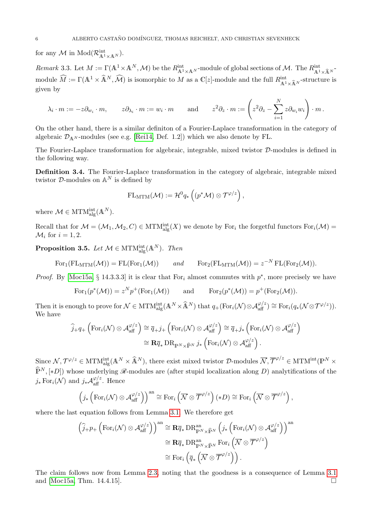for any  $\mathcal M$  in  $\mathrm{Mod}(\mathcal R_{\mathbb A^1\times\mathbb A^N}^{\mathrm{int}})$ .

<span id="page-5-1"></span>Remark 3.3. Let  $M := \Gamma(\mathbb{A}^1 \times \mathbb{A}^N, \mathcal{M})$  be the  $R_{\mathbb{A}^1 \times \mathbb{A}^N}^{\text{int}}$ -module of global sections of  $\mathcal{M}$ . The  $R_{\mathbb{A}^1 \times \widehat{\mathbb{A}}^N}^{\text{int}}$ module  $\widehat{M} := \Gamma(\mathbb{A}^1 \times \widehat{\mathbb{A}}^N, \widehat{\mathcal{M}})$  is isomorphic to M as a  $\mathbb{C}[z]$ -module and the full  $R_{\mathbb{A}^1 \times \widehat{\mathbb{A}}^N}^{\text{int}}$ -structure is given by

$$
\lambda_i \cdot m := -z \partial_{w_i} \cdot m, \qquad z \partial_{\lambda_i} \cdot m := w_i \cdot m \qquad \text{and} \qquad z^2 \partial_z \cdot m := \left( z^2 \partial_z - \sum_{i=1}^N z \partial_{w_i} w_i \right) \cdot m.
$$

On the other hand, there is a similar definiton of a Fourier-Laplace transformation in the category of algebraic  $\mathcal{D}_{\mathbf{A}^N}$ -modules (see e.g. [\[Rei14,](#page-20-6) Def. 1.2]) which we also denote by FL.

The Fourier-Laplace transformation for algebraic, integrable, mixed twistor D-modules is defined in the following way.

Definition 3.4. The Fourier-Laplace transformation in the category of algebraic, integrable mixed twistor  $D$ -modules on  $\mathbb{A}^N$  is defined by

$$
\mathrm{FL}_{\mathrm{MTM}}(\mathcal{M}):=\mathcal{H}^0q_*\left((p^*\mathcal{M})\otimes \mathcal{T}^{\varphi/z}\right),
$$

where  $\mathcal{M} \in \text{MTM}_{\text{alg}}^{\text{int}}(\mathbb{A}^N)$ .

Recall that for  $\mathcal{M} = (\mathcal{M}_1, \mathcal{M}_2, C) \in \text{MTM}_{\text{alg}}^{\text{int}}(X)$  we denote by For<sub>i</sub> the forgetful functors  $\text{For}_i(\mathcal{M}) =$  $\mathcal{M}_i$  for  $i = 1, 2$ .

<span id="page-5-0"></span>**Proposition 3.5.** Let  $\mathcal{M} \in \text{MTM}_{\text{alg}}^{\text{int}}(\mathbb{A}^N)$ . Then

 $\text{For}_1(\text{FL}_{\text{MTM}}(\mathcal{M})) = \text{FL}(\text{For}_1(\mathcal{M}))$  and  $\text{For}_2(\text{FL}_{\text{MTM}}(\mathcal{M})) = z^{-N} \text{FL}(\text{For}_2(\mathcal{M})).$ 

*Proof.* By [\[Moc15a,](#page-19-5) § 14.3.3.3] it is clear that For<sub>i</sub> almost commutes with  $p^*$ , more precisely we have

 $\text{For}_1(p^*(\mathcal{M})) = z^N p^+(\text{For}_1(\mathcal{M}))$  and  $\text{For}_2(p^*(\mathcal{M})) = p^+(\text{For}_2(\mathcal{M})).$ 

Then it is enough to prove for  $\mathcal{N} \in \text{MTM}_{\text{alg}}^{\text{int}}(\mathbb{A}^N \times \widehat{\mathbb{A}}^N)$  that  $q_+(\text{For}_i(\mathcal{N}) \otimes \mathcal{A}_{\text{aff}}^{\varphi/z}) \cong \text{For}_i(q_*(\mathcal{N} \otimes \mathcal{T}^{\varphi/z}))$ . We have

$$
\widehat{j}_{+}q_{+}\left(\text{For}_{i}(\mathcal{N})\otimes\mathcal{A}_{\text{aff}}^{\varphi/z}\right)\cong\overline{q}_{+}j_{+}\left(\text{For}_{i}(\mathcal{N})\otimes\mathcal{A}_{\text{aff}}^{\varphi/z}\right)\cong\overline{q}_{+}j_{*}\left(\text{For}_{i}(\mathcal{N})\otimes\mathcal{A}_{\text{aff}}^{\varphi/z}\right)
$$

$$
\cong\mathbf{R}\overline{q}_{*}\,\text{DR}_{\mathbb{P}^{N}\times\widehat{\mathbb{P}}^{N}}\,j_{*}\left(\text{For}_{i}(\mathcal{N})\otimes\mathcal{A}_{\text{aff}}^{\varphi/z}\right).
$$

Since  $\mathcal{N}, \mathcal{T}^{\varphi/z} \in \text{MTM}_{\text{alg}}^{\text{int}}(\mathbb{A}^N \times \widehat{\mathbb{A}}^N)$ , there exist mixed twistor  $\mathcal{D}\text{-modules } \overline{\mathcal{N}}, \overline{\mathcal{T}}^{\varphi/z} \in \text{MTM}^{\text{int}}(\mathbb{P}^N \times \mathbb{P}^N)$  $\widehat{\mathbb{P}}^N$ , [\*D]) whose underlying  $\mathscr{R}$ -modules are (after stupid localization along D) analytifications of the  $j_* \text{For}_i(\mathcal{N})$  and  $j_* \mathcal{A}_{\text{aff}}^{\varphi/z}$ . Hence

$$
\left(j_*\left(\mathrm{For}_i(\mathcal{N})\otimes \mathcal{A}_{\mathrm{aff}}^{\varphi/z}\right)\right)^{\mathrm{an}}\cong \mathrm{For}_i\left(\overline{\mathcal{N}}\otimes\overline{\mathcal{T}}^{\varphi/z}\right)(*D)\cong \mathrm{For}_i\left(\overline{\mathcal{N}}\otimes\overline{\mathcal{T}}^{\varphi/z}\right),
$$

where the last equation follows from Lemma [3.1.](#page-3-1) We therefore get

$$
\left(\widehat{j}_{+}p_{+}\left(\text{For}_{i}(\mathcal{N})\otimes\mathcal{A}_{\text{aff}}^{\varphi/z}\right)\right)^{\text{an}}\cong\mathbf{R}\overline{q}_{*}\,\text{DR}_{\mathbb{P}^{N}\times\widehat{\mathbb{P}}^{N}}^{\text{an}}\left(j_{*}\left(\text{For}_{i}(\mathcal{N})\otimes\mathcal{A}_{\text{aff}}^{\varphi/z}\right)\right)^{\text{an}}\cong\mathbf{R}\overline{q}_{*}\,\text{DR}_{\mathbb{P}^{N}\times\widehat{\mathbb{P}}^{N}}^{\text{an}}\,\text{For}_{i}\left(\overline{\mathcal{N}}\otimes\overline{\mathcal{T}}^{\varphi/z}\right)\cong\text{For}_{i}\left(\overline{q}_{*}\left(\overline{\mathcal{N}}\otimes\overline{\mathcal{T}}^{\varphi/z}\right)\right).
$$

The claim follows now from Lemma [2.3,](#page-3-0) noting that the goodness is a consequence of Lemma [3.1](#page-3-1) and [\[Moc15a,](#page-19-5) Thm. 14.4.15].  $\square$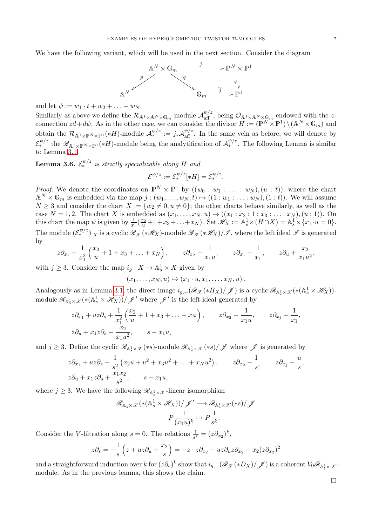We have the following variant, which will be used in the next section. Consider the diagram



and let  $\psi := w_1 \cdot t + w_2 + \ldots + w_N$ .

Similarly as above we define the  $\mathcal{R}_{\mathbb{A}^1 \times \mathbb{A}^N \times \mathbb{G}_m}$ -module  $\mathcal{A}_{\text{aff}}^{\psi/z}$ , being  $\mathcal{O}_{\mathbb{A}^1 \times \mathbb{A}^N \times \mathbb{G}_m}$  endowed with the zconnection  $zd + d\psi$ . As in the other case, we can consider the divisor  $H := (\mathbb{P}^N \times \mathbb{P}^1) \setminus (\mathbb{A}^N \times \mathbb{G}_m)$  and obtain the  $\mathcal{R}_{\mathbb{A}^1 \times \mathbb{P}^N \times \mathbb{P}^1}(*H)$ -module  $\mathcal{A}_*^{\psi/z} := j_* \mathcal{A}_{\text{aff}}^{\psi/z}$ . In the same vein as before, we will denote by  $\mathcal{E}_{*}^{\psi/z}$  the  $\mathscr{R}_{A^{1}\times\mathbb{P}^{N}\times\mathbb{P}^{1}}(*H)$ -module being the analytification of  $\mathcal{A}_{*}^{\psi/z}$ . The following Lemma is similar to Lemma [3.1.](#page-3-1)

<span id="page-6-0"></span>**Lemma 3.6.**  $\mathcal{E}_{*}^{\psi/z}$  is strictly specializable along H and

$$
\mathcal{E}^{\psi/z}:=\mathcal{E}_*^{\psi/z}[*H]=\mathcal{E}_*^{\psi/z}.
$$

*Proof.* We denote the coordinates on  $\mathbb{P}^N \times \mathbb{P}^1$  by  $((w_0:w_1:w_1:w_1:w_N),(u:t))$ , where the chart  $\mathbb{A}^N\times\mathbb{G}_m$  is embedded via the map  $j:(w_1,\ldots,w_N,t)\mapsto((1:w_1:\ldots:w_N),(1:t))$ . We will assume  $N \geq 3$  and consider the chart  $X := \{w_2 \neq 0, u \neq 0\}$ ; the other charts behave similarly, as well as the case  $N = 1, 2$ . The chart X is embedded as  $(x_1, ..., x_N, u) \mapsto ((x_1 : x_2 : 1 : x_3 : ... : x_N), (u : 1))$ . On this chart the map  $\psi$  is given by  $\frac{1}{x_1}(\frac{x_2}{u}+1+x_3+\ldots+x_N)$ . Set  $\mathscr{H}_X := \mathbb{A}^1_s \times (H \cap X) = \mathbb{A}^1_s \times \{x_1 \cdot u = 0\}$ . The module  $(\mathcal{E}^{\psi/z}_*)_{|X}$  is a cyclic  $\mathscr{R}_{\mathscr{X}}(*\mathscr{H}_X)$ -module  $\mathscr{R}_{\mathscr{X}}(*\mathscr{H}_X)/\mathscr{I}$ , where the left ideal  $\mathscr{I}$  is generated by

$$
z\partial_{x_1} + \frac{1}{x_1^2} \left( \frac{x_2}{u} + 1 + x_3 + \ldots + x_N \right), \qquad z\partial_{x_2} - \frac{1}{x_1u}, \qquad z\partial_{x_j} - \frac{1}{x_1}, \qquad z\partial_u + \frac{x_2}{x_1u^2},
$$

with  $j \geq 3$ . Consider the map  $i_g: X \to \mathbb{A}^1_s \times X$  given by

$$
(x_1,\ldots,x_N,u)\mapsto (x_1\cdot u,x_1,\ldots,x_N,u).
$$

Analogously as in Lemma [3.1,](#page-3-1) the direct image  $i_{g,+}(\mathscr{R}_{\mathscr{X}}(*H_X)/\mathscr{J})$  is a cyclic  $\mathscr{R}_{\mathbb{A}^1_s \times \mathscr{X}}(*({\mathbb{A}^1_s} \times \mathscr{H}_X))$ module  $\mathscr{R}_{\mathbb{A}^1_s \times \mathscr{X}}(*(\mathbb{A}^1_s \times \mathscr{H}_X))/\mathscr{J}'$  where  $\mathscr{J}'$  is the left ideal generated by

$$
z\partial_{x_1} + uz\partial_s + \frac{1}{x_1^2} \left( \frac{x_2}{u} + 1 + x_3 + \dots + x_N \right), \qquad z\partial_{x_2} - \frac{1}{x_1u}, \qquad z\partial_{x_j} - \frac{1}{x_1},
$$
  

$$
z\partial_u + x_1z\partial_s + \frac{x_2}{x_1u^2}, \qquad s - x_1u,
$$

and  $j \geq 3$ . Define the cyclic  $\mathscr{R}_{\mathbb{A}^1_s \times \mathscr{X}}(*s)$ -module  $\mathscr{R}_{\mathbb{A}^1_s \times \mathscr{X}}(*s)/\mathscr{J}$  where  $\mathscr{J}$  is generated by

$$
z\partial_{x_1} + uz\partial_s + \frac{1}{s^2}(x_2u + u^2 + x_3u^2 + \dots + x_Nu^2), \qquad z\partial_{x_2} - \frac{1}{s}, \qquad z\partial_{x_j} - \frac{u}{s},
$$
  

$$
z\partial_u + x_1z\partial_s + \frac{x_1x_2}{s^2}, \qquad s - x_1u,
$$

where  $j \geq 3$ . We have the following  $\mathscr{R}_{\mathbb{A}^1_s \times \mathscr{X}}$ -linear isomorphism

$$
\mathscr{R}_{{\mathbb A}^1_s \times \mathscr{X}}(*({\mathbb A}^1_s \times \mathscr{H}_X))/\mathscr{J}' \longrightarrow \mathscr{R}_{{\mathbb A}^1_s \times \mathscr{X}}(*s)/\mathscr{J}
$$

$$
P\frac{1}{(x_1u)^k} \mapsto P\frac{1}{s^k}.
$$

Consider the V-filtration along  $s = 0$ . The relations  $\frac{1}{s^k} = (z \partial_{x_2})^k$ ,

$$
z\partial_s = -\frac{1}{s}\left(z + uz\partial_u + \frac{x_2}{s}\right) = -z \cdot z\partial_{x_2} - uz\partial_u z\partial_{x_2} - x_2(z\partial_{x_2})^2
$$

and a straightforward induction over k for  $(z\partial_s)^k$  show that  $i_{g,+}(\mathscr{R}_\mathscr{X}(*D_X)/\mathscr{J})$  is a coherent  $V_0\mathscr{R}_{{\mathbb A}^1_t\times\mathscr{X}^-}$ module. As in the previous lemma, this shows the claim.

 $\Box$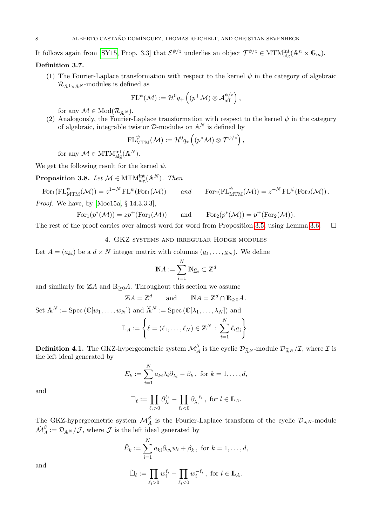It follows again from [\[SY15,](#page-20-1) Prop. 3.3] that  $\mathcal{E}^{\psi/z}$  underlies an object  $\mathcal{T}^{\psi/z} \in \text{MTM}_{\text{alg}}^{\text{int}}(\mathbb{A}^n \times \mathbb{G}_m)$ .

# Definition 3.7.

(1) The Fourier-Laplace transformation with respect to the kernel  $\psi$  in the category of algebraic  $\mathcal{R}_{\mathbb{A}^1 \times \mathbb{A}^N}$ -modules is defined as

$$
\mathrm{FL}^\psi(\mathcal{M}) := \mathcal{H}^0 q_+\left((p^+\mathcal{M})\otimes \mathcal{A}_{\mathrm{aff}}^{\psi/z}\right),\,
$$

for any  $\mathcal{M} \in Mod(\mathcal{R}_{\mathbb{A}^N}).$ 

(2) Analogously, the Fourier-Laplace transformation with respect to the kernel  $\psi$  in the category of algebraic, integrable twistor  $\mathcal{D}$ -modules on  $\mathbb{A}^N$  is defined by

$$
\mathrm{FL}^\psi_{\mathrm{MTM}}(\mathcal{M}):=\mathcal{H}^0q_*\left((p^*\mathcal{M})\otimes \mathcal{T}^{\psi/z}\right),
$$

for any  $\mathcal{M} \in \text{MTM}_{\text{alg}}^{\text{int}}(\mathbb{A}^N)$ .

We get the following result for the kernel  $\psi$ .

<span id="page-7-0"></span>**Proposition 3.8.** Let  $\mathcal{M} \in \text{MTM}_{\text{alg}}^{\text{int}}(\mathbb{A}^N)$ . Then

 $\text{For}_1(\text{FL}_{\text{MTM}}^{\psi}(\mathcal{M})) = z^{1-N} \text{ FL}^{\psi}(\text{For}_1(\mathcal{M})) \quad \text{and} \quad \text{For}_2(\text{FL}_{\text{MTM}}^{\psi}(\mathcal{M})) = z^{-N} \text{ FL}^{\psi}(\text{For}_2(\mathcal{M})).$ 

Proof. We have, by [\[Moc15a,](#page-19-5) § 14.3.3.3],

$$
For_1(p^*(\mathcal{M})) = zp^+(\text{For}_1(\mathcal{M})) \quad \text{and} \quad For_2(p^*(\mathcal{M})) = p^+(\text{For}_2(\mathcal{M})).
$$

The rest of the proof carries over almost word for word from Proposition [3.5,](#page-5-0) using Lemma [3.6.](#page-6-0)  $\Box$ 

# 4. GKZ systems and irregular Hodge modules

Let  $A = (a_{ki})$  be a  $d \times N$  integer matrix with columns  $(\underline{a}_1, \ldots, \underline{a}_N)$ . We define

$$
\mathbb{N} A := \sum_{i=1}^N \mathbb{N} \underline{a}_i \subset \mathbb{Z}^d
$$

and similarly for  $\mathbb{Z}A$  and  $\mathbb{R}_{\geq 0}A$ . Throughout this section we assume

$$
\mathbb{Z}A = \mathbb{Z}^d \quad \text{and} \quad \mathbb{N}A = \mathbb{Z}^d \cap \mathbb{R}_{\geq 0}A.
$$
  
Set  $\mathbb{A}^N := \text{Spec}(\mathbb{C}[w_1, \dots, w_N])$  and  $\widehat{\mathbb{A}}^N := \text{Spec}(\mathbb{C}[\lambda_1, \dots, \lambda_N])$  and  

$$
\mathbb{L}_A := \left\{ \ell = (\ell_1, \dots, \ell_N) \in \mathbb{Z}^N : \sum_{i=1}^N \ell_i \underline{a}_i \right\}.
$$

**Definition 4.1.** The GKZ-hypergeometric system  $\mathcal{M}_{A}^{\beta}$  is the cyclic  $\mathcal{D}_{\widehat{\mathbb{A}}^{N}}$ -module  $\mathcal{D}_{\widehat{\mathbb{A}}^{N}}/\mathcal{I}$ , where  $\mathcal I$  is the left ideal generated by

$$
E_k := \sum_{i=1}^N a_{ki} \lambda_i \partial_{\lambda_i} - \beta_k, \text{ for } k = 1, \dots, d,
$$

and

$$
\Box_{\ell} := \prod_{\ell_i > 0} \partial_{\lambda_i}^{\ell_i} - \prod_{\ell_i < 0} \partial_{\lambda_i}^{-\ell_i}, \text{ for } l \in \mathbb{L}_A.
$$

The GKZ-hypergeometric system  $\mathcal{M}_{A}^{\beta}$  is the Fourier-Laplace transform of the cyclic  $\mathcal{D}_{A^{N}}$ -module  $\check{\mathcal{M}}^\beta_A := \mathcal{D}_{\mathbb{A}^N}/\mathcal{J}$ , where  $\mathcal J$  is the left ideal generated by

$$
\check{E}_k := \sum_{i=1}^N a_{ki} \partial_{w_i} w_i + \beta_k, \text{ for } k = 1, \dots, d,
$$

and

$$
\check{\Box}_{\ell} := \prod_{\ell_i > 0} w_i^{\ell_i} - \prod_{\ell_i < 0} w_i^{-\ell_i}, \text{ for } l \in \mathbb{L}_A.
$$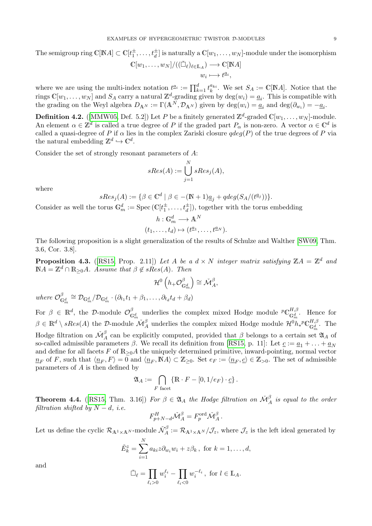The semigroup ring  $\mathbb{C}[\mathbb{N}A]\subset \mathbb{C}[t_1^\pm,\ldots,t_d^\pm]$  is naturally a  $\mathbb{C}[w_1,\ldots,w_N]$ -module under the isomorphism  $\mathbb{C}[w_1,\ldots,w_N]/((\check{\Box}_{\ell})_{\ell\in\mathbb{L}_A})\longrightarrow \mathbb{C}[\mathbb{N}A]$  $w_i \longmapsto t^{\underline{a}_i},$ 

where we are using the multi-index notation  $t^{\underline{a}_i} := \prod_{k=1}^d t_k^{a_{ki}}$ . We set  $S_A := \mathbb{C}[NA]$ . Notice that the rings  $\mathbb{C}[w_1,\ldots,w_N]$  and  $S_A$  carry a natural  $\mathbb{Z}^d$ -grading given by  $\deg(w_i) = \underline{a}_i$ . This is compatible with the grading on the Weyl algebra  $D_{A^N} := \Gamma(A^N, \mathcal{D}_{A^N})$  given by  $\deg(w_i) = \underline{a}_i$  and  $\deg(\partial_{w_i}) = -\underline{a}_i$ .

**Definition 4.2.** ([\[MMW05,](#page-19-6) Def. 5.2]) Let P be a finitely generated  $\mathbb{Z}^d$ -graded  $\mathbb{C}[w_1,\ldots,w_N]$ -module. An element  $\alpha \in \mathbb{Z}^d$  is called a true degree of P if the graded part  $P_\alpha$  is non-zero. A vector  $\alpha \in \mathbb{C}^d$  is called a quasi-degree of P if  $\alpha$  lies in the complex Zariski closure  $qdeg(P)$  of the true degrees of P via the natural embedding  $\mathbb{Z}^d \hookrightarrow \mathbb{C}^d$ .

Consider the set of strongly resonant parameters of A:

$$
sRes(A) := \bigcup_{j=1}^{N} sRes_j(A),
$$

where

$$
sRes_j(A) := \{ \beta \in \mathbb{C}^d \mid \beta \in -(N+1)\underline{a}_j + qdeg(S_A/(t^{\underline{a}_j})) \}.
$$

Consider as well the torus  $\mathbb{G}_m^d := \text{Spec}(\mathbb{C}[t_1^{\pm},...,t_d^{\pm}]),$  together with the torus embedding

$$
h: \mathbb{G}_m^d \longrightarrow \mathbb{A}^N
$$

$$
(t_1, \dots, t_d) \mapsto (t^{a_1}, \dots, t^{a_N}).
$$

The following proposition is a slight generalization of the results of Schulze and Walther [\[SW09,](#page-20-7) Thm. 3.6, Cor. 3.8].

<span id="page-8-1"></span>**Proposition 4.3.** ([\[RS15,](#page-20-4) Prop. 2.11]) Let A be a  $d \times N$  integer matrix satisfying  $\mathbb{Z}A = \mathbb{Z}^d$  and  $\mathbb{N}A = \mathbb{Z}^d \cap \mathbb{R}_{\geq 0}A$ . Assume that  $\beta \notin sRes(A)$ . Then

$$
\mathcal{H}^{0}\left(h_{+}\mathcal{O}_{\mathbb{G}_{m}^{d}}^{\beta}\right) \cong \check{\mathcal{M}}_{A}^{\beta},
$$
  
where  $\mathcal{O}_{\mathbb{G}_{m}^{d}}^{\beta} \cong \mathcal{D}_{\mathbb{G}_{m}^{d}}/\mathcal{D}_{\mathbb{G}_{m}^{d}} \cdot (\partial_{t_{1}}t_{1} + \beta_{1}, \ldots, \partial_{t_{d}}t_{d} + \beta_{d})$ 

For  $\beta \in \mathbb{R}^d$ , the D-module  $\mathcal{O}_{\mathbb{G}_m^d}^{\beta}$  underlies the complex mixed Hodge module  ${}^p\mathbb{C}_{\mathbb{G}_m^d}^{H,\beta}$ . Hence for  $\beta \in \mathbb{R}^d \setminus sRes(A)$  the D-module  $\check{\mathcal{M}}^\beta_A$  underlies the complex mixed Hodge module  $\mathcal{H}^0h_*{}^p\mathbb{C}_{\mathbb{G}_m^d}^{H,\beta}$ . The Hodge filtration on  $\check{\mathcal{M}}^\beta_A$  can be explicitly computed, provided that  $\beta$  belongs to a certain set  $\mathfrak{A}_A$  of so-called admissible parameters  $\beta$ . We recall its definition from [\[RS15,](#page-20-4) p. 11]: Let  $\underline{c} := \underline{a}_1 + \ldots + \underline{a}_N$ and define for all facets  $F$  of  $\mathbb{R}_{\geq 0}A$  the uniquely determined primitive, inward-pointing, normal vector  $n_F$  of F, such that  $\langle n_F, F \rangle = 0$  and  $\langle n_F, \overline{NA} \rangle \subset \mathbb{Z}_{\geq 0}$ . Set  $e_F := \langle n_F, \underline{c} \rangle \in \mathbb{Z}_{>0}$ . The set of admissible parameters of A is then defined by

$$
\mathfrak{A}_A := \bigcap_{F \text{ facet}} \{ \mathbb{R} \cdot F - [0, 1/e_F) \cdot \underline{c} \}.
$$

<span id="page-8-0"></span>**Theorem 4.4.** ([\[RS15,](#page-20-4) Thm. 3.16]) For  $\beta \in \mathfrak{A}_A$  the Hodge filtration on  $\check{\mathcal{M}}_A^{\beta}$  is equal to the order filtration shifted by  $N - d$ , i.e.

$$
F_{p+N-d}^H \check{\mathcal{M}}_A^{\beta} = F_p^{\text{ord}} \check{\mathcal{M}}_A^{\beta}.
$$

Let us define the cyclic  $\mathcal{R}_{\mathbb{A}^1 \times \mathbb{A}^N}$ -module  $\check{\mathcal{N}}_A^{\beta} := \mathcal{R}_{\mathbb{A}^1 \times \mathbb{A}^N}/\mathcal{J}_z$ , where  $\mathcal{J}_z$  is the left ideal generated by

$$
\check{E}_k^z = \sum_{i=1}^N a_{ki} z \partial_{w_i} w_i + z \beta_k, \text{ for } k = 1, \dots, d,
$$

and

$$
\check{\Box}_{\ell} = \prod_{\ell_i > 0} w_i^{\ell_i} - \prod_{\ell_i < 0} w_i^{-\ell_i}, \text{ for } l \in \mathbb{L}_A.
$$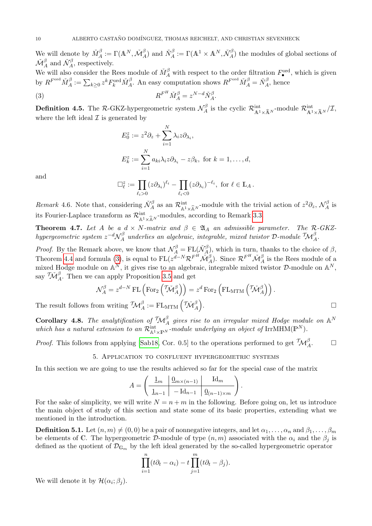We will denote by  $\check{M}^{\beta}_{A} := \Gamma(\mathbb{A}^{N}, \check{\mathcal{M}}^{\beta}_{A})$  and  $\check{N}^{\beta}_{A} := \Gamma(\mathbb{A}^{1} \times \mathbb{A}^{N}, \check{\mathcal{N}}^{\beta}_{A})$  the modules of global sections of  $\check{\mathcal{M}}^{\beta}_A$  and  $\check{\mathcal{N}}^{\beta}_A$ , respectively.

We will also consider the Rees module of  $\check{M}^{\beta}_{A}$  with respect to the order filtration  $F^{\text{ord}}_{\bullet}$ , which is given by  $R^{F^{ord}} \check{M}^{\beta}_A := \sum_{k \geq 0} z^k F^{ord}_k \check{M}^{\beta}_A$ . An easy computation shows  $R^{F^{ord}} \check{M}^{\beta}_A = \check{N}^{\beta}_A$ , hence

(3) 
$$
R^{F^H} \check{M}^{\beta}_A = z^{N-d} \check{N}^{\beta}_A.
$$

**Definition 4.5.** The R-GKZ-hypergeometric system  $\mathcal{N}_A^{\beta}$  $\mathcal{R}_A^{\beta}$  is the cyclic  $\mathcal{R}_{\mathbb{A}^1 \times \widehat{\mathbb{A}}^N}^{\text{int}}$ -module  $\mathcal{R}_{\mathbb{A}^1 \times \widehat{\mathbb{A}}^N}^{\text{int}}/\mathcal{I}$ , where the left ideal  $\mathcal I$  is generated by

<span id="page-9-1"></span>
$$
E_0^z := z^2 \partial_z + \sum_{i=1}^N \lambda_i z \partial_{\lambda_i},
$$
  

$$
E_k^z := \sum_{i=1}^N a_{ki} \lambda_i z \partial_{\lambda_i} - z \beta_k, \text{ for } k = 1, ..., d,
$$

and

$$
\Box_{\ell}^z := \prod_{\ell_i > 0} (z \partial_{\lambda_i})^{\ell_i} - \prod_{\ell_i < 0} (z \partial_{\lambda_i})^{-\ell_i}, \text{ for } \ell \in \mathbb{L}_A.
$$

Remark 4.6. Note that, considering  $\check{\mathcal{N}}_A^{\beta}$  as an  $\mathcal{R}_{\mathbb{A}^1 \times \widehat{\mathbb{A}}^N}^{\text{int}}$ -module with the trivial action of  $z^2 \partial_z$ ,  $\mathcal{N}_A^{\beta}$  $A^{\rho}$  is its Fourier-Laplace transform as  $\mathcal{R}^{\text{int}}_{\mathbb{A}^1 \times \widehat{\mathbb{A}}^N}$ -modules, according to Remark [3.3.](#page-5-1)

<span id="page-9-0"></span>**Theorem 4.7.** Let A be a  $d \times N$ -matrix and  $\beta \in \mathfrak{A}_A$  an admissible parameter. The R-GKZ $hypergeometric\ system\ z^{-d}{\cal N}^\beta_A$  $\mathcal{L}_A^\beta$  underlies an algebraic, integrable, mixed twistor  $\mathcal{D}\text{-module }\mathcal{T\!M}_A^\beta.$ 

*Proof.* By the Remark above, we know that  $\mathcal{N}_A^{\beta} = FL(\check{\mathcal{N}}_A^{\beta})$ , which in turn, thanks to the choice of  $\beta$ , Theorem [4.4](#page-8-0) and formula [\(3\)](#page-9-1), is equal to  $FL(z^{d-N}\mathcal{R}^{F^H}\mathcal{M}^{\beta}_A)$ . Since  $\mathcal{R}^{F^H}\mathcal{M}^{\beta}_A$  is the Rees module of a mixed Hodge module on  $\mathbb{A}^N$ , it gives rise to an algebraic, integrable mixed twistor D-module on  $\mathbb{A}^N$ , say  $\mathcal{T}\mathcal{M}_{A}^{\beta}$ . Then we can apply Proposition [3.5](#page-5-0) and get

$$
\mathcal{N}_A^{\beta} = z^{d-N} \operatorname{FL} \left( \operatorname{For}_2 \left( \tilde{\mathcal{M}}_A^{\beta} \right) \right) = z^d \operatorname{For}_2 \left( \operatorname{FL}_{\operatorname{MTM}} \left( \tilde{\mathcal{M}}_A^{\beta} \right) \right).
$$
  
from writing  $\mathcal{M}_A^{\beta} := \operatorname{FL}_{\operatorname{MTM}} \left( \tilde{\mathcal{M}}_A^{\beta} \right).$ 

The result follows from writing  $\mathcal{TM}_{A}^{\beta} := \text{FL}_{\text{MTM}}\left(\mathcal{TM}_{A}^{\beta}\right)$ 

**Corollary 4.8.** The analytification of  ${}^{\mathcal{T}}\mathcal{M}^{\beta}_A$  gives rise to an irregular mixed Hodge module on  $\mathbb{A}^N$ which has a natural extension to an  $\mathcal{R}^{\text{int}}_{\mathbb{A}^1\times\mathbb{P}^N}$ -module underlying an object of IrrMHM( $\mathbb{P}^N$ ).

*Proof.* This follows from applying [\[Sab18,](#page-20-2) Cor. 0.5] to the operations performed to get  $\mathcal{IM}_{A}^{\beta}$  $\Box$ 

5. Application to confluent hypergeometric systems

In this section we are going to use the results achieved so far for the special case of the matrix

$$
A = \left( \begin{array}{c|c} \frac{1}{m} & \frac{0}{m \times (n-1)} & \text{Id}_{m} \\ \hline \frac{1}{m-1} & -\text{Id}_{n-1} & \frac{0}{m-1 \times m} \end{array} \right).
$$

For the sake of simplicity, we will write  $N = n + m$  in the following. Before going on, let us introduce the main object of study of this section and state some of its basic properties, extending what we mentioned in the introduction.

**Definition 5.1.** Let  $(n, m) \neq (0, 0)$  be a pair of nonnegative integers, and let  $\alpha_1, \ldots, \alpha_n$  and  $\beta_1, \ldots, \beta_m$ be elements of C. The hypergeometric D-module of type  $(n, m)$  associated with the  $\alpha_i$  and the  $\beta_j$  is defined as the quotient of  $\mathcal{D}_{\mathbb{G}_m}$  by the left ideal generated by the so-called hypergeometric operator

$$
\prod_{i=1}^n (t\partial_t - \alpha_i) - t \prod_{j=1}^m (t\partial_t - \beta_j).
$$

We will denote it by  $\mathcal{H}(\alpha_i;\beta_j)$ .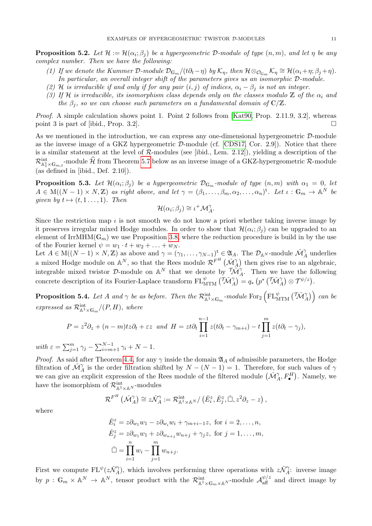**Proposition 5.2.** Let  $\mathcal{H} := \mathcal{H}(\alpha_i; \beta_j)$  be a hypergeometric D-module of type  $(n, m)$ , and let  $\eta$  be any complex number. Then we have the following:

- (1) If we denote the Kummer D-module  $\mathcal{D}_{\mathbb{G}_m}/(t\partial_t \eta)$  by  $\mathcal{K}_{\eta}$ , then  $\mathcal{H} \otimes_{\mathcal{O}_{\mathbb{G}_m}} \mathcal{K}_{\eta} \cong \mathcal{H}(\alpha_i + \eta; \beta_j + \eta)$ . In particular, an overall integer shift of the parameters gives us an isomorphic D-module.
- (2) H is irreducible if and only if for any pair  $(i, j)$  of indices,  $\alpha_i \beta_j$  is not an integer.
- (3) If H is irreducible, its isomorphism class depends only on the classes modulo Z of the  $\alpha_i$  and the  $\beta_i$ , so we can choose such parameters on a fundamental domain of  $\mathbb{C}/\mathbb{Z}$ .

Proof. A simple calculation shows point 1. Point 2 follows from [\[Kat90,](#page-19-7) Prop. 2.11.9, 3.2], whereas point 3 is part of [ibid., Prop. 3.2].

As we mentioned in the introduction, we can express any one-dimensional hypergeometric D-module as the inverse image of a GKZ hypergeometric  $D$ -module (cf. [\[CDS17,](#page-19-2) Cor. 2.9]). Notice that there is a similar statement at the level of  $R$ -modules (see [ibid., Lem. 2.12]), yielding a description of the  $\mathcal{R}^{\text{int}}_{\mathbb{A}^1_z\times\mathbb{G}_{m,t}}$ -module  $\widehat{\mathcal{H}}$  from Theorem [5.7](#page-14-0) below as an inverse image of a GKZ-hypergeometric  $\mathcal{R}$ -module (as defined in [ibid., Def.  $2.10$ ]).

**Proposition 5.3.** Let  $\mathcal{H}(\alpha_i;\beta_j)$  be a hypergeometric  $\mathcal{D}_{\mathbb{G}_m}$ -module of type  $(n,m)$  with  $\alpha_1=0$ , let  $A \in M((N-1) \times N, \mathbb{Z})$  as right above, and let  $\gamma = (\beta_1, \ldots, \beta_m, \alpha_2, \ldots, \alpha_n)^t$ . Let  $\iota : \mathbb{G}_m \to \mathbb{A}^N$  be given by  $t \mapsto (t, 1 \ldots, 1)$ . Then

$$
\mathcal{H}(\alpha_i;\beta_j)\cong\iota^+\mathcal{M}_A^\gamma.
$$

Since the restriction map  $\iota$  is not smooth we do not know a priori whether taking inverse image by it preserves irregular mixed Hodge modules. In order to show that  $\mathcal{H}(\alpha_i;\beta_j)$  can be upgraded to an element of IrrMHM( $\mathbb{G}_m$ ) we use Proposition [3.8,](#page-7-0) where the reduction procedure is build in by the use of the Fourier kernel  $\psi = w_1 \cdot t + w_2 + \ldots + w_N$ .

Let  $A \in M((N-1) \times N, \mathbb{Z})$  as above and  $\gamma = (\gamma_1, \ldots, \gamma_{N-1})^{\mathsf{t}} \in \mathfrak{A}_A$ . The  $\mathcal{D}_{\mathbb{A}^N}$ -module  $\mathcal{M}_{A}^{\gamma}$  underlies a mixed Hodge module on  $\mathbb{A}^N$ , so that the Rees module  $\mathcal{R}^{F^H}(\mathcal{M}^{\gamma}_{\mathcal{A}})$  then gives rise to an algebraic, integrable mixed twistor D-module on  $\mathbb{A}^N$  that we denote by  $\widetilde{\mathcal{M}}_{A}^{\gamma}$ . Then we have the following concrete description of its Fourier-Laplace transform  $FL_{\text{MTM}}^{\psi}(\tilde{\mathcal{TM}}_{A}^{\gamma}) = q_* \left( p^* \left( \tilde{\mathcal{TM}}_{A}^{\gamma} \right) \otimes \mathcal{T}^{\psi/z} \right)$ .

<span id="page-10-0"></span>**Proposition 5.4.** Let A and  $\gamma$  be as before. Then the  $\mathcal{R}^{\text{int}}_{\mathbb{A}^1\times\mathbb{G}_m}$ -module  $\text{For}_{2}\left(\text{FL}^\psi_{\text{MTM}}\left(\tilde{\mathcal{M}}^\gamma_A\right)\right)$  can be expressed as  $\mathcal{R}^{\text{int}}_{\mathbb{A}^1 \times \mathbb{G}_m} / (P, H)$ , where

$$
P = z^2 \partial_z + (n - m)tz\partial_t + \varepsilon z \text{ and } H = zt\partial_t \prod_{i=1}^{n-1} z(t\partial_t - \gamma_{m+i}) - t \prod_{j=1}^m z(t\partial_t - \gamma_j),
$$

with  $\varepsilon = \sum_{j=1}^m \gamma_j - \sum_{i=m+1}^{N-1} \gamma_i + N - 1$ .

*Proof.* As said after Theorem [4.4,](#page-8-0) for any  $\gamma$  inside the domain  $\mathfrak{A}_A$  of admissible parameters, the Hodge filtration of  $\mathcal{M}_{A}^{\gamma}$  is the order filtration shifted by  $N - (N - 1) = 1$ . Therefore, for such values of  $\gamma$ we can give an explicit expression of the Rees module of the filtered module  $(\check{\mathcal{M}}^{\gamma}_A, F^H_{\bullet})$ . Namely, we have the isomorphism of  $\mathcal{R}^{\text{int}}_{\mathbb{A}^1 \times \mathbb{A}^N}$ -modules

$$
\mathcal{R}^{F^H}(\check{\mathcal{M}}_A^{\gamma}) \cong z\check{\mathcal{N}}_A^{\gamma} := \mathcal{R}^{\text{int}}_{\mathbb{A}^1 \times \mathbb{A}^N}/(\check{E}_i^z, \check{E}_j^z, \check{\Box}, z^2\partial_z - z),
$$

where

$$
\check{E}_i^z = z \partial_{w_1} w_1 - z \partial_{w_i} w_i + \gamma_{m+i-1} z, \text{ for } i = 2, \dots, n,
$$
  
\n
$$
\check{E}_j^z = z \partial_{w_1} w_1 + z \partial_{w_{n+j}} w_{n+j} + \gamma_j z, \text{ for } j = 1, \dots, m,
$$
  
\n
$$
\check{\Box} = \prod_{i=1}^n w_i - \prod_{j=1}^m w_{n+j}.
$$

First we compute  $FL^{\psi}(z\check{N}_{A}^{\gamma})$ , which involves performing three operations with  $z\check{N}_{A}^{\gamma}$ : inverse image by  $p: \mathbb{G}_m \times \mathbb{A}^N \to \mathbb{A}^N$ , tensor product with the  $\mathcal{R}^{\text{int}}_{\mathbb{A}^1 \times \mathbb{G}_m \times \mathbb{A}^N}$ -module  $\mathcal{A}^{\psi/z}_{\text{aff}}$  and direct image by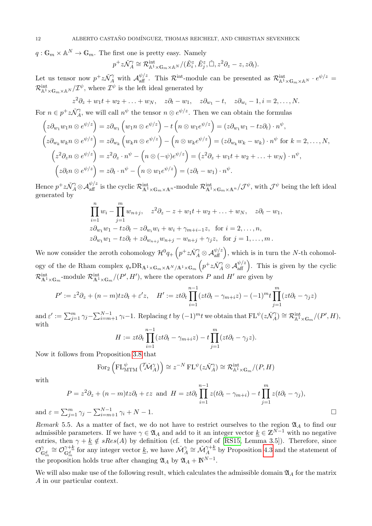$q: \mathbb{G}_m \times \mathbb{A}^N \to \mathbb{G}_m$ . The first one is pretty easy. Namely

$$
p^+z\check{\mathcal{N}}_A^\gamma \cong \mathcal{R}^{\text{int}}_{\mathbb{A}^1 \times \mathbb{G}_m \times \mathbb{A}^N}/(\check{E}_i^z, \check{E}_j^z, \check{\Box}, z^2\partial_z - z, z\partial_t).
$$

Let us tensor now  $p^+z\check{\mathcal{N}}^\gamma_A$  with  $\mathcal{A}_{\text{aff}}^{\psi/z}$ . This  $\mathcal{R}^{\text{int}}$ -module can be presented as  $\mathcal{R}^{\text{int}}_{\mathbb{A}^1\times\mathbb{G}_m\times\mathbb{A}^N}\cdot e^{\psi/z}$  $\mathcal{R}^{\text{int}}_{\mathbb{A}^1 \times \mathbb{G}_m \times \mathbb{A}^N}/\mathcal{I}^{\psi}$ , where  $\mathcal{I}^{\psi}$  is the left ideal generated by

$$
z^{2}\partial_{z} + w_{1}t + w_{2} + \ldots + w_{N}, \quad z\partial_{t} - w_{1}, \quad z\partial_{w_{1}} - t, \quad z\partial_{w_{i}} - 1, i = 2, \ldots, N.
$$

For  $n \in p^+z\check{\mathcal{N}}_A^{\gamma}$ , we will call  $n^{\psi}$  the tensor  $n \otimes e^{\psi/z}$ . Then we can obtain the formulas

$$
\begin{aligned}\n\left(z\partial_{w_1}w_1n\otimes e^{\psi/z}\right) &= z\partial_{w_1}\left(w_1n\otimes e^{\psi/z}\right) - t\left(n\otimes w_1e^{\psi/z}\right) = (z\partial_{w_1}w_1 - tz\partial_t)\cdot n^{\psi}, \\
\left(z\partial_{w_k}w_kn\otimes e^{\psi/z}\right) &= z\partial_{w_k}\left(w_kn\otimes e^{\psi/z}\right) - \left(n\otimes w_ke^{\psi/z}\right) = (z\partial_{w_k}w_k - w_k)\cdot n^{\psi} \text{ for } k = 2,\ldots,N, \\
\left(z^2\partial_zn\otimes e^{\psi/z}\right) &= z^2\partial_z\cdot n^{\psi} - \left(n\otimes (-\psi)e^{\psi/z}\right) = \left(z^2\partial_z + w_1t + w_2 + \ldots + w_N\right)\cdot n^{\psi}, \\
\left(z\partial_tn\otimes e^{\psi/z}\right) &= z\partial_t\cdot n^{\psi} - \left(n\otimes w_1e^{\psi/z}\right) = (z\partial_t - w_1)\cdot n^{\psi}.\n\end{aligned}
$$

Hence  $p^+z\check{\mathcal{N}}^{\gamma}_A\otimes\mathcal{A}_{\mathrm{aff}}^{\psi/z}$  is the cyclic  $\mathcal{R}^{\mathrm{int}}_{\mathrm{A}^1\times\mathbb{G}_m\times\mathbb{A}^n}$ -module  $\mathcal{R}^{\mathrm{int}}_{\mathrm{A}^1\times\mathbb{G}_m\times\mathbb{A}^n}/\mathcal{J}^{\psi}$ , with  $\mathcal{J}^{\psi}$  being the left ideal generated by

$$
\prod_{i=1}^{n} w_i - \prod_{j=1}^{m} w_{n+j}, \quad z^2 \partial_z - z + w_1 t + w_2 + \dots + w_N, \quad z \partial_t - w_1,
$$
  
\n
$$
z \partial_{w_1} w_1 - t z \partial_t - z \partial_{w_i} w_i + w_i + \gamma_{m+i-1} z, \text{ for } i = 2, \dots, n,
$$
  
\n
$$
z \partial_{w_1} w_1 - t z \partial_t + z \partial_{w_{n+j}} w_{n+j} - w_{n+j} + \gamma_j z, \text{ for } j = 1, \dots, m.
$$

We now consider the zeroth cohomology  $\mathcal{H}^0 q_+\left(p^+z\check{\mathcal{N}}^\gamma_A\otimes \mathcal{A}_{\text{aff}}^{\psi/z}\right)$ , which is in turn the N-th cohomology of the de Rham complex  $q_*\text{DR}_{\mathbb{A}^1\times\mathbb{G}_m\times\mathbb{A}^N/\mathbb{A}^1\times\mathbb{G}_m}\left(p^+z\check{\mathcal{N}}^\gamma_A\otimes\mathcal{A}_{\text{aff}}^{\psi/z}\right)$ . This is given by the cyclic  $\mathcal{R}^{\text{int}}_{\mathbb{A}^1\times\mathbb{G}_m}$ -module  $\mathcal{R}^{\text{int}}_{\mathbb{A}^1\times\mathbb{G}_m}/(P', H')$ , where the operators P and H' are given by

$$
P' := z^2 \partial_z + (n - m)tz\partial_t + \varepsilon' z, \quad H' := zt\partial_t \prod_{i=1}^{n-1} (zt\partial_t - \gamma_{m+i}z) - (-1)^m t \prod_{j=1}^m (zt\partial_t - \gamma_j z)
$$

and  $\varepsilon' := \sum_{j=1}^m \gamma_j - \sum_{i=m+1}^{N-1} \gamma_i - 1$ . Replacing t by  $(-1)^m t$  we obtain that  $FL^{\psi}(z \check{\mathcal{N}}_A^{\gamma}) \cong \mathcal{R}_{\mathbb{A}^1 \times \mathbb{G}_m}^{\text{int}}/(P', H),$ with

$$
H := z t \partial_t \prod_{i=1}^{n-1} (zt \partial_t - \gamma_{m+i} z) - t \prod_{j=1}^m (zt \partial_t - \gamma_j z).
$$

Now it follows from Proposition [3.8](#page-7-0) that

For<sub>2</sub> 
$$
\left(\mathrm{FL}_{\mathrm{MTM}}^{\psi} \left( \tilde{\mathcal{M}}_{A}^{\gamma} \right) \right) \cong z^{-N} \mathrm{FL}^{\psi}(z\tilde{\mathcal{N}}_{A}^{\gamma}) \cong \mathcal{R}_{\mathbb{A}^{1} \times \mathbb{G}_{m}}^{\mathrm{int}} / (P, H)
$$

with

$$
P = z^2 \partial_z + (n - m)tz\partial_t + \varepsilon z \text{ and } H = zt\partial_t \prod_{i=1}^{n-1} z(t\partial_t - \gamma_{m+i}) - t \prod_{j=1}^m z(t\partial_t - \gamma_j),
$$
  
= 
$$
\sum_{j=1}^m \gamma_j - \sum_{i=m+1}^{N-1} \gamma_i + N - 1.
$$

and  $\varepsilon =$ 

<span id="page-11-0"></span>Remark 5.5. As a matter of fact, we do not have to restrict ourselves to the region  $\mathfrak{A}_A$  to find our admissible parameters. If we have  $\gamma \in \mathfrak{A}_A$  and add to it an integer vector  $k \in \mathbb{Z}^{N-1}$  with no negative entries, then  $\gamma + k \notin sRes(A)$  by definition (cf. the proof of [\[RS15,](#page-20-4) Lemma 3.5]). Therefore, since  $\mathcal{O}^{\gamma}_{\mathbb{G}_m^d} \cong \mathcal{O}^{\gamma + \underline{k}}_{\mathbb{G}_m^d}$  $\tilde{G}_{m}^{+\underline{k}}$  for any integer vector  $\underline{k}$ , we have  $\tilde{\mathcal{M}}_{A}^{\gamma} \cong \tilde{\mathcal{M}}_{A}^{\gamma+\underline{k}}$  $A^{\gamma+\underline{\kappa}}$  by Proposition [4.3](#page-8-1) and the statement of the proposition holds true after changing  $\mathfrak{A}_A$  by  $\mathfrak{A}_A + \mathbb{N}^{N-1}$ .

We will also make use of the following result, which calculates the admissible domain  $\mathfrak{A}_A$  for the matrix A in our particular context.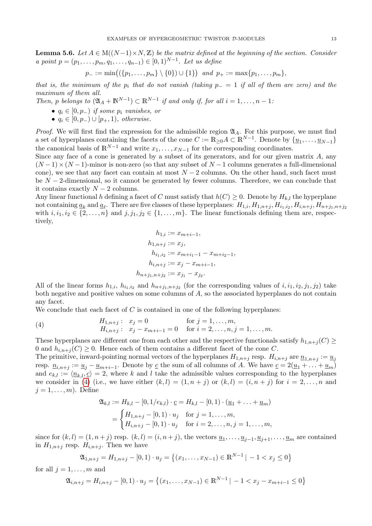<span id="page-12-1"></span>**Lemma 5.6.** Let  $A \in M((N-1) \times N, \mathbb{Z})$  be the matrix defined at the beginning of the section. Consider a point  $p = (p_1, \ldots, p_m, q_1, \ldots, q_{n-1}) \in [0, 1)^{N-1}$ . Let us define

$$
p_{-} := \min\big((\{p_1, \ldots, p_m\} \setminus \{0\}) \cup \{1\}\big) \text{ and } p_{+} := \max\{p_1, \ldots, p_m\},\
$$

that is, the minimum of the  $p_i$  that do not vanish (taking  $p_-=1$  if all of them are zero) and the maximum of them all.

Then, p belongs to  $(\mathfrak{A}_A + \mathbb{N}^{N-1}) \subset \mathbb{R}^{N-1}$  if and only if, for all  $i = 1, \ldots, n-1$ .

- $q_i \in [0, p_-\)$  if some  $p_i$  vanishes, or
- $q_i \in [0, p_-) \cup [p_+, 1)$ , otherwise.

*Proof.* We will first find the expression for the admissible region  $\mathfrak{A}_A$ . For this purpose, we must find a set of hyperplanes containing the facets of the cone  $C := \mathbb{R}_{\geq 0} A \subset \mathbb{R}^{N-1}$ . Denote by  $\{ \underline{u}_1, \ldots, \underline{u}_{N-1} \}$ the canonical basis of  $\mathbb{R}^{N-1}$  and write  $x_1, \ldots, x_{N-1}$  for the corresponding coordinates.

Since any face of a cone is generated by a subset of its generators, and for our given matrix  $A$ , any  $(N-1)\times(N-1)$ -minor is non-zero (so that any subset of  $N-1$  columns generates a full-dimensional cone), we see that any facet can contain at most  $N-2$  columns. On the other hand, such facet must be  $N-2$ -dimensional, so it cannot be generated by fewer columns. Therefore, we can conclude that it contains exactly  $N-2$  columns.

Any linear functional h defining a facet of C must satisfy that  $h(C) \geq 0$ . Denote by  $H_{k,l}$  the hyperplane not containing  $\underline{a}_k$  and  $\underline{a}_\ell$ . There are five classes of these hyperplanes:  $H_{1,i}, H_{1,n+j}, H_{i_1,i_2}, H_{i,n+j}, H_{n+j_1,n+j_2}$ with  $i, i_1, i_2 \in \{2, ..., n\}$  and  $j, j_1, j_2 \in \{1, ..., m\}$ . The linear functionals defining them are, respectively,

$$
h_{1,i} := x_{m+i-1},
$$
  
\n
$$
h_{1,n+j} := x_j,
$$
  
\n
$$
h_{i_1,i_2} := x_{m+i_1-1} - x_{m+i_2-1},
$$
  
\n
$$
h_{i,n+j} := x_j - x_{m+i-1},
$$
  
\n
$$
h_{n+j_1,n+j_2} := x_{j_1} - x_{j_2}.
$$

All of the linear forms  $h_{1,i}$ ,  $h_{i_1,i_2}$  and  $h_{n+j_1,n+j_2}$  (for the corresponding values of  $i, i_1, i_2, j_1, j_2$ ) take both negative and positive values on some columns of A, so the associated hyperplanes do not contain any facet.

We conclude that each facet of  $C$  is contained in one of the following hyperplanes:

<span id="page-12-0"></span>(4) 
$$
H_{1,n+j}: x_j = 0 \text{ for } j = 1,...,m, \nH_{i,n+j}: x_j - x_{m+i-1} = 0 \text{ for } i = 2,...,n, j = 1,...,m.
$$

These hyperplanes are different one from each other and the respective functionals satisfy  $h_{1,n+i}(C) \geq$ 0 and  $h_{i,n+i}(C) \geq 0$ . Hence each of them contains a different facet of the cone C.

The primitive, inward-pointing normal vectors of the hyperplanes  $H_{1,n+j}$  resp.  $H_{i,n+j}$  are  $\underline{n}_{1,n+j} := \underline{u}_j$ resp.  $\underline{n}_{i,n+j} := \underline{u}_j - \underline{u}_{m+i-1}$ . Denote by  $\underline{c}$  the sum of all columns of A. We have  $\underline{c} = 2(\underline{u}_1 + \ldots + \underline{u}_m)$ and  $e_{k,l} := \langle n_{k,l}, c \rangle = 2$ , where k and l take the admissible values corresponding to the hyperplanes we consider in [\(4\)](#page-12-0) (i.e., we have either  $(k, l) = (1, n + j)$  or  $(k, l) = (i, n + j)$  for  $i = 2, \ldots, n$  and  $j = 1, \ldots, m$ . Define

$$
\mathfrak{A}_{k,l} := H_{k,l} - [0, 1/e_{k,l}) \cdot \underline{c} = H_{k,l} - [0, 1) \cdot (\underline{u}_1 + \dots + \underline{u}_m)
$$
  
= 
$$
\begin{cases} H_{1,n+j} - [0, 1) \cdot u_j & \text{for } j = 1, \dots, m, \\ H_{i,n+j} - [0, 1) \cdot u_j & \text{for } i = 2, \dots, n, j = 1, \dots, m, \end{cases}
$$

since for  $(k, l) = (1, n + j)$  resp.  $(k, l) = (i, n + j)$ , the vectors  $\underline{u}_1, \dots, \underline{u}_{j-1}, \underline{u}_{j+1}, \dots, \underline{u}_m$  are contained in  $H_{1,n+j}$  resp.  $H_{i,n+j}$ . Then we have

$$
\mathfrak{A}_{1,n+j} = H_{1,n+j} - [0,1) \cdot u_j = \left\{ (x_1, \dots, x_{N-1}) \in \mathbb{R}^{N-1} \mid -1 < x_j \le 0 \right\}
$$

for all  $j = 1, \ldots, m$  and

$$
\mathfrak{A}_{i,n+j} = H_{i,n+j} - [0,1) \cdot u_j = \left\{ (x_1, \dots, x_{N-1}) \in \mathbb{R}^{N-1} \mid -1 < x_j - x_{m+i-1} \le 0 \right\}
$$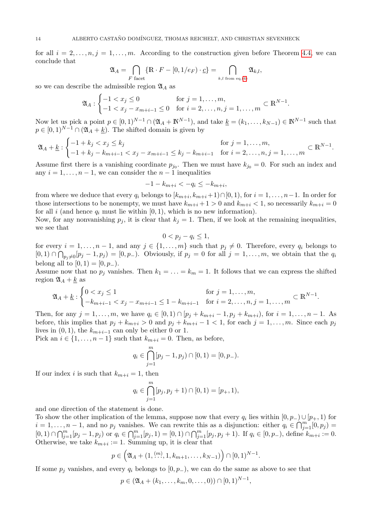for all  $i = 2, \ldots, n, j = 1, \ldots, m$ . According to the construction given before Theorem [4.4,](#page-8-0) we can conclude that

$$
\mathfrak{A}_A = \bigcap_{F \text{ facet}} \{ \mathbb{R} \cdot F - [0, 1/e_F) \cdot \underline{c} \} = \bigcap_{k, l \text{ from eq.}(4)} \mathfrak{A}_{k, l},
$$

so we can describe the admissible region  $\mathfrak{A}_A$  as

$$
\mathfrak{A}_A: \begin{cases} -1 < x_j \le 0 \\ -1 < x_j - x_{m+i-1} \le 0 \quad \text{for } i = 2, \dots, n, j = 1, \dots, m \end{cases} \subset \mathbb{R}^{N-1}.
$$

Now let us pick a point  $p \in [0,1)^{N-1} \cap (\mathfrak{A}_A + \mathbb{N}^{N-1})$ , and take  $\underline{k} = (k_1, \ldots, k_{N-1}) \in \mathbb{N}^{N-1}$  such that  $p \in [0, 1)^{N-1} \cap (\mathfrak{A}_A + \underline{k})$ . The shifted domain is given by

$$
\mathfrak{A}_{A} + \underline{k} : \begin{cases} -1 + k_{j} & \text{for } j = 1, \dots, m, \\ -1 + k_{j} - k_{m+i-1} < x_{j} - x_{m+i-1} \leq k_{j} - k_{m+i-1} \quad \text{for } i = 2, \dots, n, j = 1, \dots, m \end{cases} \subset \mathbb{R}^{N-1}.
$$

Assume first there is a vanishing coordinate  $p_{j_0}$ . Then we must have  $k_{j_0} = 0$ . For such an index and any  $i = 1, \ldots, n - 1$ , we can consider the  $n - 1$  inequalities

$$
-1-k_{m+i} < -q_i \leq -k_{m+i},
$$

from where we deduce that every  $q_i$  belongs to  $[k_{m+i}, k_{m+i}+1] \cap [0, 1)$ , for  $i = 1, ..., n-1$ . In order for those intersections to be nonempty, we must have  $k_{m+i} + 1 > 0$  and  $k_{m+i} < 1$ , so necessarily  $k_{m+i} = 0$ for all i (and hence  $q_i$  must lie within [0, 1], which is no new information).

Now, for any nonvanishing  $p_j$ , it is clear that  $k_j = 1$ . Then, if we look at the remaining inequalities, we see that

$$
0 < p_j - q_i \leq 1,
$$

for every  $i = 1, \ldots, n-1$ , and any  $j \in \{1, \ldots, m\}$  such that  $p_j \neq 0$ . Therefore, every  $q_i$  belongs to  $[0,1) \cap \bigcap_{p_j\neq 0} [p_j-1,p_j] = [0,p_-).$  Obviously, if  $p_j = 0$  for all  $j = 1,\ldots,m$ , we obtain that the  $q_i$ belong all to  $[0, 1) = [0, p_-\)$ .

Assume now that no  $p_i$  vanishes. Then  $k_1 = \ldots = k_m = 1$ . It follows that we can express the shifted region  $\mathfrak{A}_A + \underline{k}$  as

$$
\mathfrak{A}_A + \underline{k} : \begin{cases} 0 < x_j \le 1 \\ -k_{m+i-1} < x_j - x_{m+i-1} \le 1 - k_{m+i-1} \end{cases} \quad \text{for } i = 2, \dots, n, j = 1, \dots, m \subset \mathbb{R}^{N-1}.
$$

Then, for any  $j = 1, ..., m$ , we have  $q_i \in [0, 1) \cap [p_j + k_{m+i} - 1, p_j + k_{m+i})$ , for  $i = 1, ..., n - 1$ . As before, this implies that  $p_j + k_{m+i} > 0$  and  $p_j + k_{m+i} - 1 < 1$ , for each  $j = 1, ..., m$ . Since each  $p_j$ lives in  $(0, 1)$ , the  $k_{m+i-1}$  can only be either 0 or 1.

Pick an  $i \in \{1, \ldots, n-1\}$  such that  $k_{m+i} = 0$ . Then, as before,

$$
q_i \in \bigcap_{j=1}^m [p_j - 1, p_j) \cap [0, 1) = [0, p_-).
$$

If our index i is such that  $k_{m+i} = 1$ , then

$$
q_i \in \bigcap_{j=1}^m [p_j, p_j + 1) \cap [0, 1) = [p_+, 1),
$$

and one direction of the statement is done.

To show the other implication of the lemma, suppose now that every  $q_i$  lies within  $[0, p_-) \cup [p_+, 1]$  for  $i = 1, \ldots, n-1$ , and no  $p_j$  vanishes. We can rewrite this as a disjunction: either  $q_i \in \bigcap_{j=1}^m [0, p_j)$  $[0,1) \cap \bigcap_{j=1}^{m} [p_j-1, p_j]$  or  $q_i \in \bigcap_{j=1}^{m} [p_j, 1) = [0,1) \cap \bigcap_{j=1}^{m} [p_j, p_j + 1]$ . If  $q_i \in [0, p_-)$ , define  $k_{m+i} := 0$ . Otherwise, we take  $k_{m+i} := 1$ . Summing up, it is clear that

$$
p \in \left(\mathfrak{A}_A + (1, \stackrel{(m)}{\ldots}, 1, k_{m+1}, \ldots, k_{N-1})\right) \cap [0, 1)^{N-1}.
$$

If some  $p_j$  vanishes, and every  $q_i$  belongs to  $[0, p_-,)$ , we can do the same as above to see that

$$
p \in (\mathfrak{A}_A + (k_1, \ldots, k_m, 0, \ldots, 0)) \cap [0, 1)^{N-1},
$$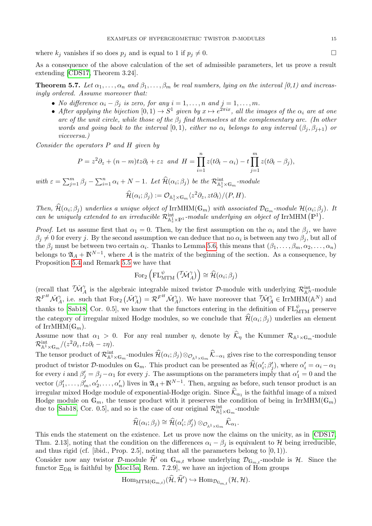where  $k_j$  vanishes if so does  $p_j$  and is equal to 1 if  $p_j \neq 0$ .

As a consequence of the above calculation of the set of admissible parameters, let us prove a result extending [\[CDS17,](#page-19-2) Theorem 3.24].

<span id="page-14-0"></span>**Theorem 5.7.** Let  $\alpha_1, \ldots, \alpha_n$  and  $\beta_1, \ldots, \beta_m$  be real numbers, lying on the interval  $(0,1)$  and increasingly ordered. Assume moreover that:

- No difference  $\alpha_i \beta_j$  is zero, for any  $i = 1, \ldots, n$  and  $j = 1, \ldots, m$ .
- After applying the bijection  $[0,1) \to S^1$  given by  $x \mapsto e^{2\pi ix}$ , all the images of the  $\alpha_i$  are at one arc of the unit circle, while those of the  $\beta_i$  find themselves at the complementary arc. (In other words and going back to the interval [0, 1], either no  $\alpha_i$  belongs to any interval  $(\beta_i, \beta_{i+1})$  or viceversa.)

Consider the operators P and H given by

$$
P = z2 \partial_z + (n - m)tz\partial_t + \varepsilon z \text{ and } H = \prod_{i=1}^n z(t\partial_t - \alpha_i) - t \prod_{j=1}^m z(t\partial_t - \beta_j),
$$

with  $\varepsilon = \sum_{j=1}^m \beta_j - \sum_{i=1}^n \alpha_i + N - 1$ . Let  $\widehat{\mathcal{H}}(\alpha_i; \beta_j)$  be the  $\mathcal{R}_{\mathbb{A}_z^1 \times \mathbb{G}_m}^{\text{int}}$ -module

$$
\widehat{\mathcal{H}}(\alpha_i;\beta_j):=\mathcal{O}_{\mathbb{A}_z^1\times\mathbb{G}_m}\langle z^2\partial_z,zt\partial_t\rangle/(P,H).
$$

Then,  $\widehat{\mathcal{H}}(\alpha_i;\beta_j)$  underlies a unique object of IrrMHM( $\mathbb{G}_m$ ) with associated  $\mathcal{D}_{\mathbb{G}_m}$ -module  $\mathcal{H}(\alpha_i;\beta_j)$ . It can be uniquely extended to an irreducible  $\mathcal{R}^{\text{int}}_{\mathbb{A}^1_x \times \mathbb{P}^1}$ -module underlying an object of IrrMHM  $(\mathbb{P}^1)$ .

*Proof.* Let us assume first that  $\alpha_1 = 0$ . Then, by the first assumption on the  $\alpha_i$  and the  $\beta_i$ , we have  $\beta_j \neq 0$  for every j. By the second assumption we can deduce that no  $\alpha_i$  is between any two  $\beta_j$ , but all of the  $\beta_j$  must be between two certain  $\alpha_i$ . Thanks to Lemma [5.6,](#page-12-1) this means that  $(\beta_1,\ldots,\beta_m,\alpha_2,\ldots,\alpha_n)$ belongs to  $\mathfrak{A}_A + \mathbb{N}^{N-1}$ , where A is the matrix of the beginning of the section. As a consequence, by Proposition [5.4](#page-10-0) and Remark [5.5](#page-11-0) we have that

$$
\text{For}_2\left(\text{FL}_{\text{MTM}}^{\psi} \left( \tilde{\mathcal{M}}_{A}^{\gamma} \right) \right) \cong \hat{\mathcal{H}}(\alpha_i; \beta_j)
$$

(recall that  $\tilde{\mathcal{M}}^{\gamma}_A$  is the algebraic integrable mixed twistor D-module with underlying  $\mathcal{R}^{\text{int}}_{A^N}$ -module  $\mathcal{R}^{F^H} \mathcal{M}^{\gamma}_A$ , i.e. such that  $\text{For}_2(\mathcal{M}^{\gamma}_A) = \mathcal{R}^{F^H} \mathcal{M}^{\gamma}_A$ . We have moreover that  $\mathcal{M}^{\gamma}_A \in \text{IrrMHM}(\mathbb{A}^N)$  and thanks to [\[Sab18,](#page-20-2) Cor. 0.5], we know that the functors entering in the definition of  $FL_{\text{MTM}}^{\psi}$  preserve the category of irregular mixed Hodge modules, so we conclude that  $\mathcal{H}(\alpha_i;\beta_j)$  underlies an element of IrrMHM $(\mathbb{G}_m)$ .

Assume now that  $\alpha_1 > 0$ . For any real number  $\eta$ , denote by  $\mathcal{K}_{\eta}$  the Kummer  $\mathcal{R}_{\mathbb{A}^1 \times \mathbb{G}_m}$ -module  $\mathcal{R}^{\rm int}_{\mathbb{A}^1\times\mathbb{G}_m}/(z^2\partial_z,tz\partial_t-z\eta).$ 

The tensor product of  $\mathcal{R}^{\text{int}}_{\mathbb{A}^1\times\mathbb{G}_m}$ -modules  $\widehat{\mathcal{H}}(\alpha_i;\beta_j)\otimes_{\mathcal{O}_{\mathbb{A}^1\times\mathbb{G}_m}}\widehat{\mathcal{K}}_{-\alpha_1}$  gives rise to the corresponding tensor product of twistor D-modules on  $\mathbb{G}_m$ . This product can be presented as  $\hat{\mathcal{H}}(\alpha'_i; \beta'_j)$ , where  $\alpha'_i = \alpha_i - \alpha_1$ for every i and  $\beta'_j = \beta_j - \alpha_1$  for every j. The assumptions on the parameters imply that  $\alpha'_1 = 0$  and the vector  $(\beta'_1,\ldots,\beta'_m,\alpha'_2,\ldots,\alpha'_n)$  lives in  $\mathfrak{A}_A+\mathbb{N}^{N-1}$ . Then, arguing as before, such tensor product is an irregular mixed Hodge module of exponential-Hodge origin. Since  $\mathcal{K}_{\alpha_1}$  is the faithful image of a mixed Hodge module on  $\mathbb{G}_m$ , the tensor product with it preserves the condition of being in IrrMHM( $\mathbb{G}_m$ ) due to [\[Sab18,](#page-20-2) Cor. 0.5], and so is the case of our original  $\mathcal{R}^{\text{int}}_{\mathbb{A}_z^1 \times \mathbb{G}_m}$ -module

$$
\widehat{\mathcal{H}}(\alpha_i;\beta_j)\cong\widehat{\mathcal{H}}(\alpha_i';\beta_j')\otimes_{\mathcal{O}_{\mathbb{A}^1\times\mathbb{G}_m}}\widehat{\mathcal{K}}_{\alpha_1}.
$$

This ends the statement on the existence. Let us prove now the claims on the unicity, as in [\[CDS17,](#page-19-2) Thm. 2.13], noting that the condition on the differences  $\alpha_i - \beta_i$  is equivalent to H being irreducible, and thus rigid (cf. [ibid., Prop. 2.5], noting that all the parameters belong to  $(0, 1)$ ).

Consider now any twistor D-module  $\hat{\mathcal{H}}'$  on  $\mathbb{G}_{m,t}$  whose underlying  $\mathcal{D}_{\mathbb{G}_{m,t}}$ -module is  $\mathcal{H}$ . Since the functor  $\Xi_{\text{DR}}$  is faithful by [\[Moc15a,](#page-19-5) Rem. 7.2.9], we have an injection of Hom groups

$$
\mathrm{Hom}_{\mathrm{MTM}(\mathbb{G}_{m,t})}(\widehat{\mathcal{H}}, \widehat{\mathcal{H}}') \hookrightarrow \mathrm{Hom}_{\mathcal{D}_{\mathbb{G}_{m,t}}}(\mathcal{H}, \mathcal{H}).
$$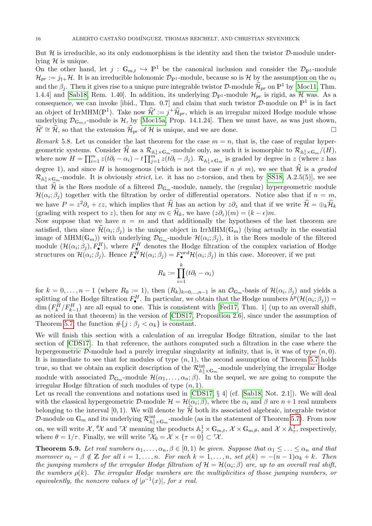But  $H$  is irreducible, so its only endomorphism is the identity and then the twistor  $D$ -module underlying  $H$  is unique.

On the other hand, let  $j : \mathbb{G}_{m,t} \hookrightarrow \mathbb{P}^1$  be the canonical inclusion and consider the  $\mathcal{D}_{\mathbb{P}^1}$ -module  $\mathcal{H}_{pr} := j_{\dagger +} \mathcal{H}$ . It is an irreducible holonomic  $\mathcal{D}_{\mathbb{P}^1}$ -module, because so is H by the assumption on the  $\alpha_i$ and the  $\beta_j$ . Then it gives rise to a unique pure integrable twistor D-module  $\widehat{\mathcal{H}}_{pr}$  on  $\mathbb{P}^1$  by [\[Moc11,](#page-19-8) Thm. 1.4.4] and [\[Sab18,](#page-20-2) Rem. 1.40]. In addition, its underlying  $\mathcal{D}_{p1}$ -module  $\mathcal{H}_{pr}$  is rigid, as H was. As a consequence, we can invoke [ibid., Thm. 0.7] and claim that such twistor  $\mathcal{D}$ -module on  $\mathbb{P}^1$  is in fact an object of IrrMHM( $\mathbb{P}^1$ ). Take now  $\hat{\mathcal{H}}' := j^+ \hat{\mathcal{H}}_{pr}$ , which is an irregular mixed Hodge module whose underlying  $\mathcal{D}_{\mathbb{G}_m}$  -module is  $\mathcal{H}$ , by [\[Moc15a,](#page-19-5) Prop. 14.1.24]. Then we must have, as was just shown,  $\hat{\mathcal{H}}' \cong \hat{\mathcal{H}}$ , so that the extension  $\hat{\mathcal{H}}_{pr}$  of  $\hat{\mathcal{H}}$  is unique, and we are done.

Remark 5.8. Let us consider the last theorem for the case  $m = n$ , that is, the case of regular hypergeometric systems. Consider  $\mathcal{H}$  as a  $\mathcal{R}_{\mathbb{A}^1_2 \times \mathbb{G}_m}$ -module only, as such it is isomorphic to  $\mathcal{R}_{\mathbb{A}^1_2 \times \mathbb{G}_m}/(H)$ , where now  $H = \prod_{i=1}^m z(t\partial_t - \alpha_i) - t \prod_{j=1}^{m^2} z(t\partial_t - \beta_j)$ .  $\mathcal{R}_{\mathbb{A}^1_z \times \mathbb{G}_m}$  is graded by degree in z (where z has degree 1), and since H is homogenous (which is not the case if  $n \neq m$ ), we see that  $\widehat{\mathcal{H}}$  is a graded  $\mathcal{R}_{\mathbb{A}^1_z \times \mathbb{G}_m}$ -module. It is obviously *strict*, i.e. it has no *z*-torsion, and then by [\[SS18,](#page-20-8) A.2.5(5)], we see that  $\mathcal{H}$  is the Rees module of a filtered  $\mathcal{D}_{\mathbb{G}_m}$ -module, namely, the (regular) hypergeometric module  $\mathcal{H}(\alpha_i;\beta_j)$  together with the filtration by order of differential operators. Notice also that if  $n = m$ , we have  $P = z^2 \partial_z + \varepsilon z$ , which implies that  $\widehat{\mathcal{H}}$  has an action by  $z \partial_z$  and that if we write  $\widehat{\mathcal{H}} = \bigoplus_k \widehat{\mathcal{H}}_k$ (grading with respect to z), then for any  $m \in \widehat{\mathcal{H}}_k$ , we have  $(z\partial_z)(m) = (k - \epsilon)m$ .

Now suppose that we have  $n = m$  and that additionally the hypotheses of the last theorem are satisfied, then since  $\widehat{\mathcal{H}}(\alpha_i;\beta_j)$  is the unique object in IrrMHM( $\mathbb{G}_m$ ) (lying actually in the essential image of MHM( $\mathbb{G}_m$ )) with underlying  $\mathcal{D}_{\mathbb{G}_m}$ -module  $\mathcal{H}(\alpha_i;\beta_j)$ , it is the Rees module of the filtered module  $(\mathcal{H}(\alpha_i;\beta_j), F^H_{\bullet})$ , where  $F^H_{\bullet}$  denotes the Hodge filtration of the complex variation of Hodge structures on  $\mathcal{H}(\alpha_i;\beta_j)$ . Hence  $F^H_{\bullet}\mathcal{H}(\alpha_i;\beta_j)=F^{\text{ord}}_{\bullet}\mathcal{H}(\alpha_i;\beta_j)$  in this case. Moreover, if we put

$$
R_k := \prod_{i=1}^k (t\partial_t - \alpha_i)
$$

for  $k = 0, \ldots, n-1$  (where  $R_0 := 1$ ), then  $(R_k)_{k=0,\ldots,n-1}$  is an  $\mathcal{O}_{\mathbb{G}_m}$ -basis of  $\mathcal{H}(\alpha_i, \beta_j)$  and yields a splitting of the Hodge filtration  $F^H_{\bullet}$ . In particular, we obtain that the Hodge numbers  $h^p(\mathcal{H}(\alpha_i;\beta_j)) =$  $\dim \left( F_k^H/F_{k-1}^H \right)$  are all equal to one. This is consistent with [\[Fed17,](#page-19-9) Thm. 1] (up to an overall shift, as noticed in that theorem) in the version of [\[CDS17,](#page-19-2) Proposition 2.6], since under the assumption of Theorem [5.7,](#page-14-0) the function  $\#\{j : \beta_j < \alpha_k\}$  is constant.

We will finish this section with a calculation of an irregular Hodge filtration, similar to the last section of [\[CDS17\]](#page-19-2). In that reference, the authors computed such a filtration in the case where the hypergeometric  $\mathcal{D}$ -module had a purely irregular singularity at infinity, that is, it was of type  $(n, 0)$ . It is immediate to see that for modules of type  $(n, 1)$ , the second assumption of Theorem [5.7](#page-14-0) holds true, so that we obtain an explicit description of the  $\mathcal{R}^{\text{int}}_{\mathbb{A}^1_z \times \mathbb{G}_m}$ -module underlying the irregular Hodge module with associated  $\mathcal{D}_{\mathbb{G}_m}$ -module  $\mathcal{H}(\alpha_1,\ldots,\alpha_n;\beta)$ . In the sequel, we are going to compute the irregular Hodge filtration of such modules of type  $(n, 1)$ .

Let us recall the conventions and notations used in [\[CDS17,](#page-19-2) § 4] (cf. [\[Sab18,](#page-20-2) Not. 2.1]). We will deal with the classical hypergeometric D-module  $\mathcal{H} = \mathcal{H}(\alpha_i; \beta)$ , where the  $\alpha_i$  and  $\beta$  are  $n+1$  real numbers belonging to the interval [0, 1]. We will denote by  $\hat{\mathcal{H}}$  both its associated algebraic, integrable twistor D-module on  $\mathbb{G}_m$  and its underlying  $\mathcal{R}_{\mathbb{A}_z^1\times\mathbb{G}_m}^{\text{int}}$ -module (as in the statement of Theorem [5.7\)](#page-14-0). From now on, we will write  $\mathcal{X}, \, ^\theta \mathcal{X}$  and  $^{\tau}\mathcal{X}$  meaning the products  $\mathbb{A}_z^1 \times \mathbb{G}_{m,t}, \, \mathcal{X} \times \mathbb{G}_{m,\theta}$ , and  $\mathcal{X} \times \mathbb{A}_\tau^1$ , respectively, where  $\theta = 1/\tau$ . Finally, we will write  $\tau \chi_0 = \mathcal{X} \times {\tau = 0} \subset {\tau \chi}$ .

**Theorem 5.9.** Let real numbers  $\alpha_1, \ldots, \alpha_n, \beta \in [0, 1)$  be given. Suppose that  $\alpha_1 \leq \ldots \leq \alpha_n$  and that moreover  $\alpha_i - \beta \notin \mathbb{Z}$  for all  $i = 1, \ldots, n$ . For each  $k = 1, \ldots, n$ , set  $\rho(k) = -(n-1)\alpha_k + k$ . Then the jumping numbers of the irregular Hodge filtration of  $\mathcal{H} = \mathcal{H}(\alpha_i;\beta)$  are, up to an overall real shift, the numbers  $\rho(k)$ . The irregular Hodge numbers are the multiplicities of those jumping numbers, or equivalently, the nonzero values of  $|\rho^{-1}(x)|$ , for x real.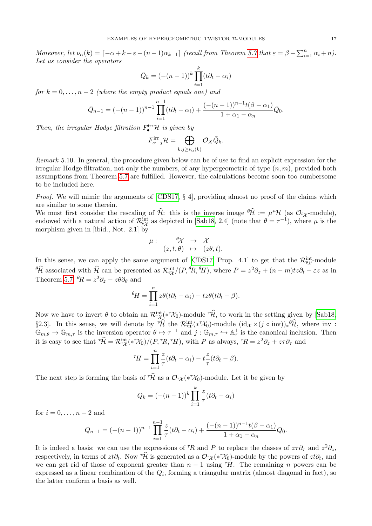Moreover, let  $\nu_{\alpha}(k) = \lceil -\alpha + k - \varepsilon - (n-1)\alpha_{k+1} \rceil$  (recall from Theorem [5.7](#page-14-0) that  $\varepsilon = \beta - \sum_{i=1}^{n} \alpha_i + n$ ). Let us consider the operators

$$
\bar{Q}_k = (-(n-1))^k \prod_{i=1}^k (t\partial_t - \alpha_i)
$$

for  $k = 0, \ldots, n-2$  (where the empty product equals one) and

$$
\bar{Q}_{n-1} = (-(n-1))^{n-1} \prod_{i=1}^{n-1} (t\partial_t - \alpha_i) + \frac{(-(n-1))^{n-1}t(\beta - \alpha_1)}{1 + \alpha_1 - \alpha_n} \bar{Q}_0.
$$

Then, the irregular Hodge filtration  $F_{\bullet}^{\text{irr}}\mathcal{H}$  is given by

$$
F^{\rm irr}_{\alpha+j} \mathcal{H} = \bigoplus_{k:j \ge \nu_\alpha(k)} \mathcal{O}_X \bar{Q}_k.
$$

Remark 5.10. In general, the procedure given below can be of use to find an explicit expression for the irregular Hodge filtration, not only the numbers, of any hypergeometric of type  $(n, m)$ , provided both assumptions from Theorem [5.7](#page-14-0) are fulfilled. However, the calculations become soon too cumbersome to be included here.

*Proof.* We will mimic the arguments of  $[CDS17, \S 4]$ , providing almost no proof of the claims which are similar to some therein.

We must first consider the rescaling of  $\hat{\mathcal{H}}$ : this is the inverse image  ${}^{\theta}\hat{\mathcal{H}} := \mu^* \mathcal{H}$  (as  $\mathcal{O}_{\theta\chi}$ -module), endowed with a natural action of  $\mathcal{R}_{\theta\chi}^{\text{int}}$  as depicted in [\[Sab18,](#page-20-2) 2.4] (note that  $\theta = \tau^{-1}$ ), where  $\mu$  is the morphism given in [ibid., Not. 2.1] by

$$
\mu: \quad \begin{array}{rcl} \theta \mathcal{X} & \to & \mathcal{X} \\ (z,t,\theta) & \mapsto & (z\theta,t). \end{array}
$$

In this sense, we can apply the same argument of [\[CDS17,](#page-19-2) Prop. 4.1] to get that the  $\mathcal{R}_{\theta\chi}^{int}$ -module  $\theta \hat{\mathcal{H}}$  associated with  $\hat{\mathcal{H}}$  can be presented as  $\mathcal{R}_{\theta \chi}^{\text{int}}/(P,{}^{\theta}R,{}^{\theta}H)$ , where  $P = z^2 \partial_z + (n - m)tz\partial_t + \varepsilon z$  as in Theorem [5.7,](#page-14-0)  ${}^{\theta}R = z^2 \partial_z - z\theta \partial_{\theta}$  and

$$
{}^{\theta}\!H = \prod_{i=1}^{n} z\theta(t\partial_t - \alpha_i) - tz\theta(t\partial_t - \beta).
$$

Now we have to invert  $\theta$  to obtain an  $\mathcal{R}_{\tau\chi}^{\text{int}}(*\tau\chi_0)$ -module  $\tau\hat{\mathcal{H}}$ , to work in the setting given by [\[Sab18,](#page-20-2) §2.3]. In this sense, we will denote by  $\hat{\mathcal{H}}$  the  $\mathcal{R}_{\tau\chi}^{\text{int}}(*\tau\chi_0)$ -module  $(\mathrm{id}_{\mathcal{X}}\times(j\circ\mathrm{inv}))_*\hat{\mathcal{H}}$ , where  $\mathrm{inv}:$  $\mathbb{G}_{m,\theta} \to \mathbb{G}_{m,\tau}$  is the inversion operator  $\theta \mapsto \tau^{-1}$  and  $j: \mathbb{G}_{m,\tau} \to \mathbb{A}^1_\tau$  is the canonical inclusion. Then it is easy to see that  $T\hat{\mathcal{H}} = \mathcal{R}_{\tau\mathcal{X}}^{\text{int}}(*^{\tau}\mathcal{X}_0)/(P, {}^{\tau}\!R, {}^{\tau}\!H)$ , with P as always,  ${}^{\tau}\!R = z^2 \partial_z + z\tau \partial_{\tau}$  and

$$
{}^{\tau}H = \prod_{i=1}^{n} \frac{z}{\tau}(t\partial_t - \alpha_i) - t\frac{z}{\tau}(t\partial_t - \beta).
$$

The next step is forming the basis of  $\pi \hat{\mathcal{H}}$  as a  $\mathcal{O}_{\tau\chi}(*\tau\mathcal{X}_0)$ -module. Let it be given by

$$
Q_k = (-(n-1))^k \prod_{i=1}^k \frac{z}{\tau} (t \partial_t - \alpha_i)
$$

for  $i = 0, \ldots, n-2$  and

$$
Q_{n-1} = (-(n-1))^{n-1} \prod_{i=1}^{n-1} \frac{z}{\tau} (t\partial_t - \alpha_i) + \frac{(-(n-1))^{n-1} t(\beta - \alpha_1)}{1 + \alpha_1 - \alpha_n} Q_0.
$$

It is indeed a basis: we can use the expressions of <sup> $\tau$ </sup>R and P to replace the classes of  $z\tau\partial_\tau$  and  $z^2\partial_z$ , respectively, in terms of  $zt\partial_t$ . Now  $\hat{\mathcal{H}}$  is generated as a  $\mathcal{O}_{\tau\chi}(*\hat{\mathcal{X}}_0)$ -module by the powers of  $zt\partial_t$ , and we can get rid of those of exponent greater than  $n-1$  using  $H$ . The remaining n powers can be expressed as a linear combination of the  $Q_i$ , forming a triangular matrix (almost diagonal in fact), so the latter conform a basis as well.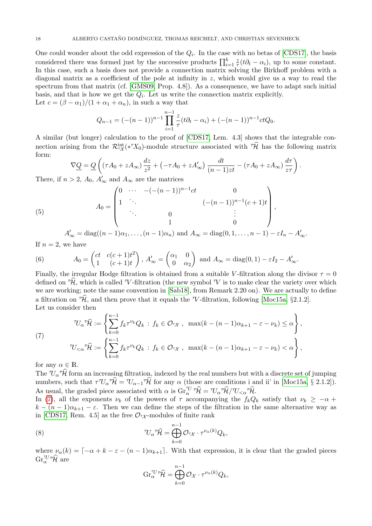One could wonder about the odd expression of the  $Q_i$ . In the case with no betas of [\[CDS17\]](#page-19-2), the basis considered there was formed just by the successive products  $\prod_{i=1}^{k} \frac{z}{\tau}$  $\frac{z}{\tau}(t\partial_t - \alpha_i)$ , up to some constant. In this case, such a basis does not provide a connection matrix solving the Birkhoff problem with a diagonal matrix as a coefficient of the pole at infinity in z, which would give us a way to read the spectrum from that matrix (cf. [\[GMS09,](#page-19-10) Prop. 4.8]). As a consequence, we have to adapt such initial basis, and that is how we get the  $Q_i$ . Let us write the connection matrix explicitly. Let  $c = (\beta - \alpha_1)/(1 + \alpha_1 + \alpha_n)$ , in such a way that

$$
Q_{n-1} = (-(n-1))^{n-1} \prod_{i=1}^{n-1} \frac{z}{\tau} (t\partial_t - \alpha_i) + (-(n-1))^{n-1} ctQ_0.
$$

A similar (but longer) calculation to the proof of [\[CDS17,](#page-19-2) Lem. 4.3] shows that the integrable connection arising from the  $\mathcal{R}^{\text{int}}_{\tau\mathcal{X}}(*^{\tau}X_0)$ -module structure associated with  $\tau\hat{\mathcal{H}}$  has the following matrix form:

$$
\nabla \underline{Q} = \underline{Q}\left((\tau A_0 + z A_\infty) \frac{dz}{z^2} + (-\tau A_0 + z A'_\infty) \frac{dt}{(n-1)zt} - (\tau A_0 + z A_\infty) \frac{d\tau}{z\tau}\right).
$$

There, if  $n > 2$ ,  $A_0$ ,  $A'_{\infty}$  and  $A_{\infty}$  are the matrices

<span id="page-17-1"></span>(5) 
$$
A_0 = \begin{pmatrix} 0 & \cdots & -(-(n-1))^{n-1}ct & 0 \\ 1 & \ddots & & (-(n-1))^{n-1}(c+1)t \\ & \ddots & 0 & & \vdots \\ & & 1 & 0 \end{pmatrix},
$$

$$
A'_{\infty} = \text{diag}((n-1)\alpha_1, \dots, (n-1)\alpha_n) \text{ and } A_{\infty} = \text{diag}(0, 1, \dots, n-1) - \varepsilon I_n - A'_{\infty}.
$$

If  $n = 2$ , we have

<span id="page-17-2"></span>(6) 
$$
A_0 = \begin{pmatrix} ct & c(c+1)t^2 \\ 1 & (c+1)t \end{pmatrix}, A'_\infty = \begin{pmatrix} \alpha_1 & 0 \\ 0 & \alpha_2 \end{pmatrix} \text{ and } A_\infty = \text{diag}(0,1) - \varepsilon I_2 - A'_\infty.
$$

Finally, the irregular Hodge filtration is obtained from a suitable V-filtration along the divisor  $\tau = 0$ defined on  $\mathcal{H}$ , which is called  $\mathcal{V}$ -filtration (the new symbol  $\mathcal{V}$  is to make clear the variety over which we are working; note the same convention in [\[Sab18\]](#page-20-2), from Remark 2.20 on). We are actually to define a filtration on  $\hat{\mathcal{H}}$ , and then prove that it equals the  $\hat{\mathcal{H}}$ -filtration, following [\[Moc15a,](#page-19-5) §2.1.2]. Let us consider then

$$
\mathcal{U}_{\alpha} \hat{\mathcal{H}} := \left\{ \sum_{k=0}^{n-1} f_k \tau^{\nu_k} Q_k : f_k \in \mathcal{O}_{\tau \chi}, \ \max(k - (n-1)\alpha_{k+1} - \varepsilon - \nu_k) \le \alpha \right\},
$$
  

$$
\mathcal{U}_{<\alpha} \hat{\mathcal{H}} := \left\{ \sum_{k=0}^{n-1} f_k \tau^{\nu_k} Q_k : f_k \in \mathcal{O}_{\tau \chi}, \ \max(k - (n-1)\alpha_{k+1} - \varepsilon - \nu_k) < \alpha \right\},
$$

for any  $\alpha \in \mathbb{R}$ .

<span id="page-17-0"></span>(7)

The  $\mathcal{U}_{\alpha} \hat{\mathcal{H}}$  form an increasing filtration, indexed by the real numbers but with a discrete set of jumping numbers, such that  $\tau^{\tau}U_{\alpha}^{\tau}\hat{\mathcal{H}} = U_{\alpha-1}^{\tau}\hat{\mathcal{H}}$  for any  $\alpha$  (those are conditions i and ii' in [\[Moc15a,](#page-19-5) § 2.1.2]). As usual, the graded piece associated with  $\alpha$  is  $\operatorname{Gr}_{\alpha}^{\mathcal{TU}} \hat{\mathcal{H}} = \mathcal{U}_{\alpha} \hat{\mathcal{H}} / \mathcal{U}_{\leq \alpha} \hat{\mathcal{H}}.$ 

In [\(7\)](#page-17-0), all the exponents  $\nu_k$  of the powers of  $\tau$  accompanying the  $f_kQ_k$  satisfy that  $\nu_k \geq -\alpha$  +  $k - (n-1)\alpha_{k+1} - \varepsilon$ . Then we can define the steps of the filtration in the same alternative way as in [\[CDS17,](#page-19-2) Rem. 4.5] as the free  $\mathcal{O}_{7\chi}$ -modules of finite rank

(8) 
$$
^{\mathcal{T}}\mathcal{H} = \bigoplus_{k=0}^{n-1} \mathcal{O}_{^{\tau}\mathcal{X}} \cdot \tau^{\nu_{\alpha}(k)}Q_k,
$$

where  $\nu_{\alpha}(k) = \lceil -\alpha + k - \varepsilon - (n-1)\alpha_{k+1} \rceil$ . With that expression, it is clear that the graded pieces  $\mathrm{Gr}^{\tau_U \tau \widehat{\mathcal{H}}}_{\alpha}$  are

<span id="page-17-3"></span>
$$
\text{Gr}_{\alpha}^{\tau_U\tau}\widehat{\mathcal{H}} = \bigoplus_{k=0}^{n-1} \mathcal{O}_{\mathcal{X}}\cdot\tau^{\nu_{\alpha}(k)}Q_k,
$$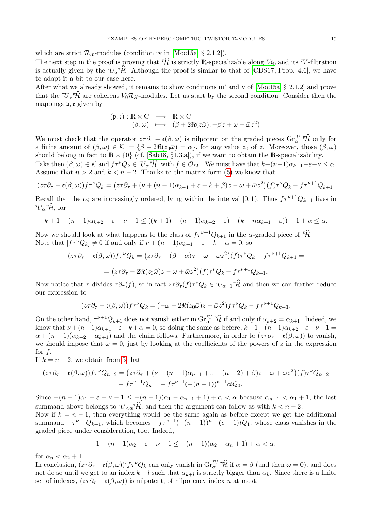which are strict  $\mathcal{R}_{\mathcal{X}}$ -modules (condition iv in [\[Moc15a,](#page-19-5) § 2.1.2]).

The next step in the proof is proving that  $\hat{\mathcal{H}}$  is strictly R-specializable along  $\mathcal{H}_0$  and its  $\mathcal{V}$ -filtration is actually given by the  $\mathcal{U}_{\alpha} \hat{\mathcal{H}}$ . Although the proof is similar to that of [\[CDS17,](#page-19-2) Prop. 4.6], we have to adapt it a bit to our case here.

After what we already showed, it remains to show conditions iii' and v of  $[{\rm Moc15a}, \S 2.1.2]$  and prove that the  $\mathcal{U}_{\alpha} \hat{\mathcal{H}}$  are coherent  $V_0 \mathcal{R}_{\mathcal{X}}$ -modules. Let us start by the second condition. Consider then the mappings p, e given by

$$
(\mathfrak{p}, \mathfrak{e}) : \mathbb{R} \times \mathbb{C} \longrightarrow \mathbb{R} \times \mathbb{C} \n(\beta, \omega) \longrightarrow (\beta + 2\Re(z\bar{\omega}), -\beta z + \omega - \bar{\omega}z^2)
$$

We must check that the operator  $z\tau\partial_{\tau} - \mathfrak{e}(\beta,\omega)$  is nilpotent on the graded pieces  $\text{Gr}_{\alpha}^{\mathcal{U}}\hat{\tau}\hat{\mathcal{H}}$  only for a finite amount of  $(\beta, \omega) \in \mathcal{K} := {\beta + 2\Re(z_0\bar{\omega}) = \alpha}$ , for any value  $z_0$  of z. Moreover, those  $(\beta, \omega)$ should belong in fact to  $\mathbb{R} \times \{0\}$  (cf. [\[Sab18,](#page-20-2) §1.3.a]), if we want to obtain the R-specializability.

Take then  $(\beta, \omega) \in \mathcal{K}$  and  $f\tau^{\nu}Q_k \in \mathcal{U}_{\alpha} \hat{\mathcal{H}}$ , with  $f \in \mathcal{O}_{\tau}$ . We must have that  $k-(n-1)\alpha_{k+1}-\varepsilon-\nu \leq \alpha$ . Assume that  $n > 2$  and  $k < n - 2$ . Thanks to the matrix form [\(5\)](#page-17-1) we know that

$$
(z\tau\partial_{\tau} - \mathfrak{e}(\beta,\omega))f\tau^{\nu}Q_{k} = (z\tau\partial_{\tau} + (\nu + (n-1)\alpha_{k+1} + \varepsilon - k + \beta)z - \omega + \bar{\omega}z^{2})(f)\tau^{\nu}Q_{k} - f\tau^{\nu+1}Q_{k+1}.
$$

Recall that the  $\alpha_i$  are increasingly ordered, lying within the interval [0, 1). Thus  $f\tau^{\nu+1}Q_{k+1}$  lives in  $^T\!U_{\alpha}$ <sup> $\tau$ </sup> $\widehat{\mathcal{H}}$ , for

$$
k+1-(n-1)\alpha_{k+2}-\varepsilon-\nu-1 \leq ((k+1)-(n-1)\alpha_{k+2}-\varepsilon)-(k-n\alpha_{k+1}-\varepsilon))-1+\alpha \leq \alpha.
$$

Now we should look at what happens to the class of  $f\tau^{\nu+1}Q_{k+1}$  in the  $\alpha$ -graded piece of  $\widehat{H}$ . Note that  $[f\tau^{\nu}Q_{k}] \neq 0$  if and only if  $\nu + (n-1)\alpha_{k+1} + \varepsilon - k + \alpha = 0$ , so

$$
(z\tau\partial_{\tau} - \mathfrak{e}(\beta,\omega))f\tau^{\nu}Q_{k} = (z\tau\partial_{\tau} + (\beta-\alpha)z - \omega + \bar{\omega}z^{2})(f)\tau^{\nu}Q_{k} - f\tau^{\nu+1}Q_{k+1} =
$$

$$
= (z\tau\partial_{\tau} - 2\Re(z_{0}\bar{\omega})z - \omega + \bar{\omega}z^{2})(f)\tau^{\nu}Q_{k} - f\tau^{\nu+1}Q_{k+1}.
$$

Now notice that  $\tau$  divides  $\tau \partial_{\tau}(f)$ , so in fact  $z\tau \partial_{\tau}(f)\tau^{\nu}Q_{k} \in U_{\alpha-1}\tilde{\mathcal{H}}$  and then we can further reduce our expression to

$$
(z\tau\partial_{\tau} - \mathfrak{e}(\beta,\omega))f\tau^{\nu}Q_{k} = (-\omega - 2\Re(z_{0}\bar{\omega})z + \bar{\omega}z^{2})f\tau^{\nu}Q_{k} - f\tau^{\nu+1}Q_{k+1}.
$$

On the other hand,  $\tau^{\nu+1}Q_{k+1}$  does not vanish either in  $\text{Gr}_{\alpha}^{\tau U}$   $\hat{\mathcal{H}}$  if and only if  $\alpha_{k+2} = \alpha_{k+1}$ . Indeed, we know that  $\nu + (n-1)\alpha_{k+1} + \varepsilon - k + \alpha = 0$ , so doing the same as before,  $k+1-(n-1)\alpha_{k+2}-\varepsilon - \nu - 1 =$  $\alpha + (n-1)(\alpha_{k+2} - \alpha_{k+1})$  and the claim follows. Furthermore, in order to  $(z\tau \partial_\tau - \mathfrak{e}(\beta,\omega))$  to vanish, we should impose that  $\omega = 0$ , just by looking at the coefficients of the powers of z in the expression for  $f$ .

If  $k = n - 2$ , we obtain from [5](#page-17-1) that

$$
(z\tau\partial_{\tau} - \mathfrak{e}(\beta,\omega))f\tau^{\nu}Q_{n-2} = (z\tau\partial_{\tau} + (\nu + (n-1)\alpha_{n-1} + \varepsilon - (n-2) + \beta)z - \omega + \bar{\omega}z^{2})(f)\tau^{\nu}Q_{n-2} - f\tau^{\nu+1}Q_{n-1} + f\tau^{\nu+1}(-(n-1))^{n-1}ctQ_{0}.
$$

Since  $-(n-1)\alpha_1 - \varepsilon - \nu - 1 \leq -(n-1)(\alpha_1 - \alpha_{n-1} + 1) + \alpha < \alpha$  because  $\alpha_{n-1} < \alpha_1 + 1$ , the last summand above belongs to  $\mathcal{U}_{\leq \alpha}$   $\hat{\mathcal{H}}$ , and then the argument can follow as with  $k < n - 2$ .

Now if  $k = n - 1$ , then everything would be the same again as before except we get the additional summand  $-\tau^{\nu+1}Q_{k+1}$ , which becomes  $-f\tau^{\nu+1}(-(n-1))^{n-1}(c+1)tQ_1$ , whose class vanishes in the graded piece under consideration, too. Indeed,

$$
1 - (n - 1)\alpha_2 - \varepsilon - \nu - 1 \leq -(n - 1)(\alpha_2 - \alpha_n + 1) + \alpha < \alpha,
$$

for  $\alpha_n < \alpha_2 + 1$ .

In conclusion,  $(z\tau \partial_{\tau} - \mathfrak{e}(\beta,\omega))^l f\tau^{\nu}Q_k$  can only vanish in  $\text{Gr}_{\alpha}^{\tau\nu} \tau \hat{\mathcal{H}}$  if  $\alpha = \beta$  (and then  $\omega = 0$ ), and does not do so until we get to an index  $k+l$  such that  $\alpha_{k+l}$  is strictly bigger than  $\alpha_k$ . Since there is a finite set of indexes,  $(z\tau \partial_{\tau} - \mathfrak{e}(\beta,\omega))$  is nilpotent, of nilpotency index *n* at most.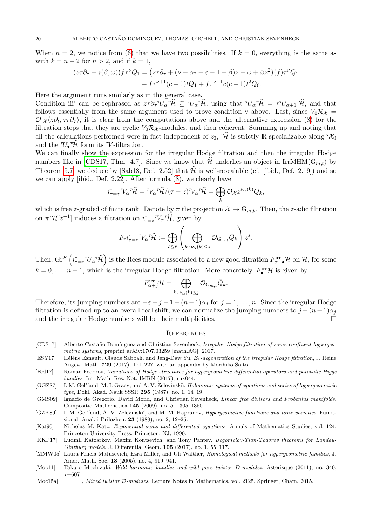When  $n = 2$ , we notice from [\(6\)](#page-17-2) that we have two possibilities. If  $k = 0$ , everything is the same as with  $k = n - 2$  for  $n > 2$ , and if  $k = 1$ ,

$$
(z\tau\partial_{\tau} - \mathfrak{e}(\beta,\omega))f\tau^{\nu}Q_1 = (z\tau\partial_{\tau} + (\nu + \alpha_2 + \varepsilon - 1 + \beta)z - \omega + \bar{\omega}z^2)(f)\tau^{\nu}Q_1
$$
  
+ 
$$
f\tau^{\nu+1}(c+1)tQ_1 + f\tau^{\nu+1}c(c+1)t^2Q_0.
$$

Here the argument runs similarly as in the general case.

Condition iii' can be rephrased as  $z\tau \partial_{\tau} \mathcal{U}_{\alpha} \hat{\tau} \hat{\mathcal{H}} \subseteq \mathcal{U}_{\alpha} \hat{\tau} \hat{\mathcal{H}}$ , using that  $\mathcal{U}_{\alpha} \hat{\tau} \hat{\mathcal{H}} = \tau \mathcal{U}_{\alpha+1} \hat{\tau} \hat{\mathcal{H}}$ , and that follows essentially from the same argument used to prove condition v above. Last, since  $V_0 \mathcal{R}_{\mathcal{X}} =$  $\mathcal{O}_{\tau\chi}\langle z\partial_t, z\tau\partial_\tau\rangle$ , it is clear from the computations above and the alternative expression [\(8\)](#page-17-3) for the filtration steps that they are cyclic  $V_0\mathcal{R}_{\mathcal{X}}$ -modules, and then coherent. Summing up and noting that all the calculations performed were in fact independent of  $z_0$ ,  $\hat{\mathcal{H}}$  is strictly R-specializable along  $\hat{\mathcal{H}}_0$ and the  $\mathcal{U}_{\bullet} \hat{\mathcal{H}}$  form its  $\mathcal{V}$ -filtration.

We can finally show the expression for the irregular Hodge filtration and then the irregular Hodge numbers like in [\[CDS17,](#page-19-2) Thm. 4.7]. Since we know that  $\mathcal{H}$  underlies an object in IrrMHM( $\mathbb{G}_{m,t}$ ) by Theorem [5.7,](#page-14-0) we deduce by [\[Sab18,](#page-20-2) Def. 2.52] that  $\hat{\mathcal{H}}$  is well-rescalable (cf. [ibid., Def. 2.19]) and so we can apply [ibid., Def. 2.22]. After formula [\(8\)](#page-17-3), we clearly have

$$
i_{\tau=z}^* \mathcal{V}_{\alpha}^* \hat{\mathcal{H}} = \mathcal{V}_{\alpha}^* \hat{\mathcal{H}} / (\tau - z) \mathcal{V}_{\alpha}^* \hat{\mathcal{H}} = \bigoplus_k \mathcal{O}_{\mathcal{X}} z^{\nu_{\alpha}(k)} \bar{Q}_k,
$$

which is free z-graded of finite rank. Denote by  $\pi$  the projection  $\mathcal{X} \to \mathbb{G}_{m,t}$ . Then, the z-adic filtration on  $\pi^* \mathcal{H}[z^{-1}]$  induces a filtration on  $i_{\tau=z}^* \nabla_\alpha^* \hat{\mathcal{H}}$ , given by

$$
F_r i_{\tau=z}^* \nabla_\alpha {}^\tau \widehat{\mathcal{H}} := \bigoplus_{s \le r} \left( \bigoplus_{k \,:\, \nu_\alpha(k) \le s} \mathcal{O}_{\mathbb{G}_{m,t}} \bar{Q}_k \right) z^s.
$$

Then,  $\operatorname{Gr}^F\left(i_{\tau=z}^* \mathbb{U}_\alpha{}^\tau \mathcal{\widehat{H}}\right)$  is the Rees module associated to a new good filtration  $F^{\rm irr}_{\alpha+\bullet}\mathcal{H}$  on  $\mathcal{H}$ , for some  $k = 0, \ldots, n-1$ , which is the irregular Hodge filtration. More concretely,  $F_{\bullet}^{\text{irr}}\mathcal{H}$  is given by

$$
F^{\operatorname{irr}}_{\alpha+j}\mathcal{H}=\bigoplus_{k\,:\,\nu_\alpha(k)\leq j}\mathcal{O}_{\mathbb{G}_{m,t}}\bar{Q}_k.
$$

Therefore, its jumping numbers are  $-\varepsilon + j - 1 - (n-1)\alpha_j$  for  $j = 1, \ldots, n$ . Since the irregular Hodge filtration is defined up to an overall real shift, we can normalize the jumping numbers to  $j - (n-1)\alpha_j$ and the irregular Hodge numbers will be their multiplicities.  $\Box$ 

### **REFERENCES**

- <span id="page-19-2"></span>[CDS17] Alberto Castaño Domínguez and Christian Sevenheck, Irregular Hodge filtration of some confluent hypergeometric systems, preprint arXiv:1707.03259 [math.AG], 2017.
- <span id="page-19-0"></span>[ESY17] Hélène Esnault, Claude Sabbah, and Jeng-Daw Yu, E<sub>1</sub>-degeneration of the irregular Hodge filtration, J. Reine Angew. Math. 729 (2017), 171–227, with an appendix by Morihiko Saito.
- <span id="page-19-9"></span>[Fed17] Roman Fedorov, Variations of Hodge structures for hypergeometric differential operators and parabolic Higgs bundles, Int. Math. Res. Not. IMRN (2017), rnx044.
- <span id="page-19-3"></span>[GGZ87] I. M. Gel'fand, M. I. Graev, and A. V. Zelevinskiı̆, *Holonomic systems of equations and series of hypergeometric* type, Dokl. Akad. Nauk SSSR 295 (1987), no. 1, 14-19.

<span id="page-19-10"></span>[GMS09] Ignacio de Gregorio, David Mond, and Christian Sevenheck, Linear free divisors and Frobenius manifolds, Compositio Mathematica 145 (2009), no. 5, 1305–1350.

<span id="page-19-4"></span>[GZK89] I. M. Gel'fand, A. V. Zelevinskiĭ, and M. M. Kapranov, Hypergeometric functions and toric varieties, Funktsional. Anal. i Prilozhen. 23 (1989), no. 2, 12–26.

<span id="page-19-7"></span>[Kat90] Nicholas M. Katz, Exponential sums and differential equations, Annals of Mathematics Studies, vol. 124, Princeton University Press, Princeton, NJ, 1990.

<span id="page-19-1"></span>[KKP17] Ludmil Katzarkov, Maxim Kontsevich, and Tony Pantev, Bogomolov-Tian-Todorov theorems for Landau-Ginzburg models, J. Differential Geom. 105 (2017), no. 1, 55–117.

<span id="page-19-6"></span>[MMW05] Laura Felicia Matusevich, Ezra Miller, and Uli Walther, Homological methods for hypergeometric families, J. Amer. Math. Soc. 18 (2005), no. 4, 919–941.

- <span id="page-19-8"></span>[Moc11] Takuro Mochizuki, Wild harmonic bundles and wild pure twistor D-modules, Astérisque (2011), no. 340, x+607.
- <span id="page-19-5"></span>[Moc15a] , Mixed twistor D-modules, Lecture Notes in Mathematics, vol. 2125, Springer, Cham, 2015.